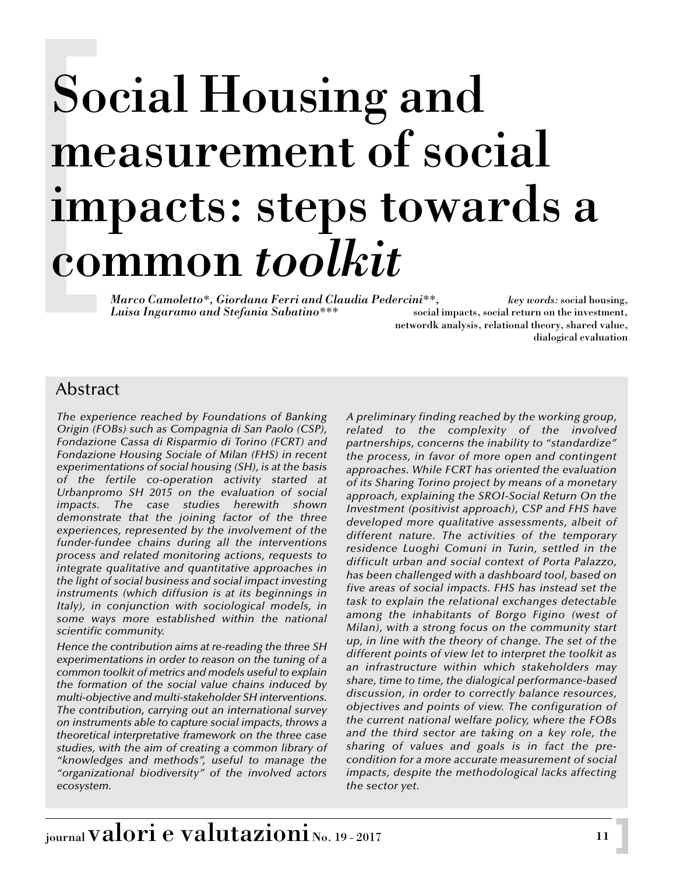# Social Housing and measurement of social impacts: steps towards a common *toolkit*

*Marco Camoletto\*, Giordana Ferri and Claudia Pedercini\*\*, key words:* social housing, *Luisa Ingaramo and Stefania Sabatino*\*\*\* social impacts, social return on the investment,

networdk analysis, relational theory, shared value, dialogical evaluation

# Abstract

*The experience reached by Foundations of Banking Origin (FOBs) such as Compagnia di San Paolo (CSP), Fondazione Cassa di Risparmio di Torino (FCRT) and Fondazione Housing Sociale of Milan (FHS) in recent experimentations of social housing (SH), is at the basis of the fertile co-operation activity started at Urbanpromo SH 2015 on the evaluation of social impacts. The case studies herewith shown demonstrate that the joining factor of the three experiences, represented by the involvement of the funder-fundee chains during all the interventions process and related monitoring actions, requests to integrate qualitative and quantitative approaches in the light of social business and social impact investing instruments (which diffusion is at its beginnings in Italy), in conjunction with sociological models, in some ways more established within the national scientific community.*

*Hence the contribution aims at re-reading the three SH experimentations in order to reason on the tuning of a common toolkit of metrics and models useful to explain the formation of the social value chains induced by multi-objective and multi-stakeholder SH interventions. The contribution, carrying out an international survey on instruments able to capture social impacts, throws a theoretical interpretative framework on the three case studies, with the aim of creating a common library of "knowledges and methods", useful to manage the "organizational biodiversity" of the involved actors ecosystem.*

*A preliminary finding reached by the working group, related to the complexity of the involved partnerships, concerns the inability to "standardize" the process, in favor of more open and contingent approaches. While FCRT has oriented the evaluation of its Sharing Torino project by means of a monetary approach, explaining the SROI-Social Return On the Investment (positivist approach), CSP and FHS have developed more qualitative assessments, albeit of different nature. The activities of the temporary residence Luoghi Comuni in Turin, settled in the difficult urban and social context of Porta Palazzo, has been challenged with a dashboard tool, based on five areas of social impacts. FHS has instead set the task to explain the relational exchanges detectable among the inhabitants of Borgo Figino (west of Milan), with a strong focus on the community start up, in line with the theory of change. The set of the different points of view let to interpret the toolkit as an infrastructure within which stakeholders may share, time to time, the dialogical performance-based discussion, in order to correctly balance resources, objectives and points of view. The configuration of the current national welfare policy, where the FOBs and the third sector are taking on a key role, the sharing of values and goals is in fact the precondition for a more accurate measurement of social impacts, despite the methodological lacks affecting the sector yet.*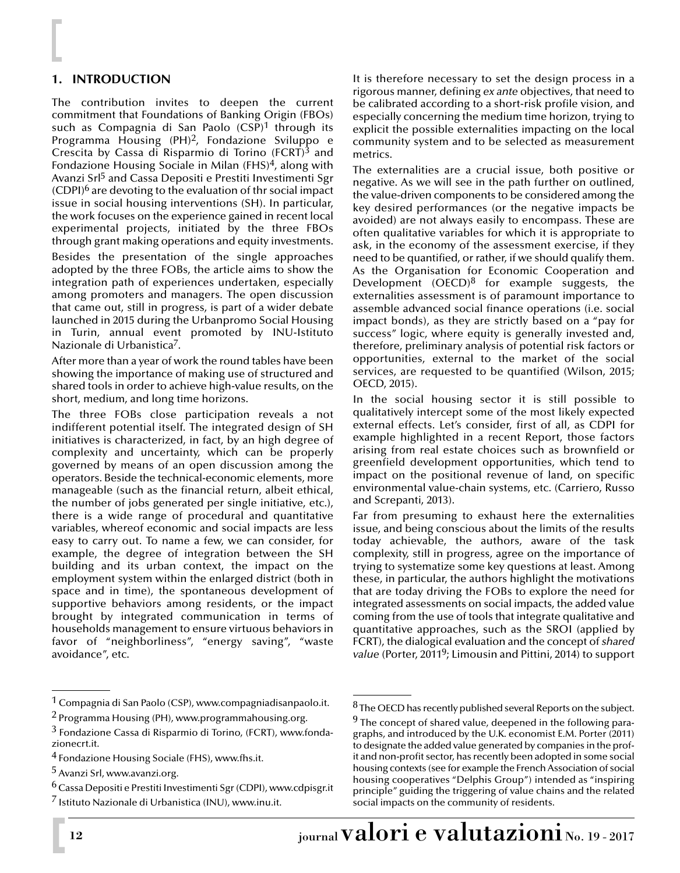## **1. INTRODUCTION**

The contribution invites to deepen the current commitment that Foundations of Banking Origin (FBOs) such as Compagnia di San Paolo  $(CSP)^1$  through its Programma Housing (PH)2, Fondazione Sviluppo e Crescita by Cassa di Risparmio di Torino  $(FCRT)<sup>3</sup>$  and Fondazione Housing Sociale in Milan  $(FHS)^4$ , along with Avanzi Srl<sup>5</sup> and Cassa Depositi e Prestiti Investimenti Sgr  $(CDPI)^6$  are devoting to the evaluation of thr social impact issue in social housing interventions (SH). In particular, the work focuses on the experience gained in recent local experimental projects, initiated by the three FBOs through grant making operations and equity investments.

Besides the presentation of the single approaches adopted by the three FOBs, the article aims to show the integration path of experiences undertaken, especially among promoters and managers. The open discussion that came out, still in progress, is part of a wider debate launched in 2015 during the Urbanpromo Social Housing in Turin, annual event promoted by INU-Istituto Nazionale di Urbanistica<sup>7</sup>.

After more than a year of work the round tables have been showing the importance of making use of structured and shared tools in order to achieve high-value results, on the short, medium, and long time horizons.

The three FOBs close participation reveals a not indifferent potential itself. The integrated design of SH initiatives is characterized, in fact, by an high degree of complexity and uncertainty, which can be properly governed by means of an open discussion among the operators. Beside the technical-economic elements, more manageable (such as the financial return, albeit ethical, the number of jobs generated per single initiative, etc.), there is a wide range of procedural and quantitative variables, whereof economic and social impacts are less easy to carry out. To name a few, we can consider, for example, the degree of integration between the SH building and its urban context, the impact on the employment system within the enlarged district (both in space and in time), the spontaneous development of supportive behaviors among residents, or the impact brought by integrated communication in terms of households management to ensure virtuous behaviors in favor of "neighborliness", "energy saving", "waste avoidance", etc.

 $1$  Compagnia di San Paolo (CSP), www.compagniadisanpaolo.it.

It is therefore necessary to set the design process in a rigorous manner, defining *ex ante* objectives, that need to be calibrated according to a short-risk profile vision, and especially concerning the medium time horizon, trying to explicit the possible externalities impacting on the local community system and to be selected as measurement metrics.

The externalities are a crucial issue, both positive or negative. As we will see in the path further on outlined, the value-driven components to be considered among the key desired performances (or the negative impacts be avoided) are not always easily to encompass. These are often qualitative variables for which it is appropriate to ask, in the economy of the assessment exercise, if they need to be quantified, or rather, if we should qualify them. As the Organisation for Economic Cooperation and Development  $(OECD)^8$  for example suggests, the externalities assessment is of paramount importance to assemble advanced social finance operations (i.e. social impact bonds), as they are strictly based on a "pay for success" logic, where equity is generally invested and, therefore, preliminary analysis of potential risk factors or opportunities, external to the market of the social services, are requested to be quantified (Wilson, 2015; OECD, 2015).

In the social housing sector it is still possible to qualitatively intercept some of the most likely expected external effects. Let's consider, first of all, as CDPI for example highlighted in a recent Report, those factors arising from real estate choices such as brownfield or greenfield development opportunities, which tend to impact on the positional revenue of land, on specific environmental value-chain systems, etc. (Carriero, Russo and Screpanti, 2013).

Far from presuming to exhaust here the externalities issue, and being conscious about the limits of the results today achievable, the authors, aware of the task complexity, still in progress, agree on the importance of trying to systematize some key questions at least. Among these, in particular, the authors highlight the motivations that are today driving the FOBs to explore the need for integrated assessments on social impacts, the added value coming from the use of tools that integrate qualitative and quantitative approaches, such as the SROI (applied by FCRT), the dialogical evaluation and the concept of *shared value* (Porter, 20119; Limousin and Pittini, 2014) to support

<sup>2</sup> Programma Housing (PH), www.programmahousing.org.

<sup>3</sup> Fondazione Cassa di Risparmio di Torino, (FCRT), www.fondazionecrt.it.

<sup>4</sup> Fondazione Housing Sociale (FHS), www.fhs.it.

<sup>5</sup> Avanzi Srl, www.avanzi.org.

<sup>6</sup> Cassa Depositi e Prestiti Investimenti Sgr (CDPI), www.cdpisgr.it  $\frac{1}{1}$  Istituto Nazionale di Urbanistica (INU), www.inu.it.

 $8$  The OECD has recently published several Reports on the subject.

 $9$  The concept of shared value, deepened in the following paragraphs, and introduced by the U.K. economist E.M. Porter (2011) to designate the added value generated by companies in the profit and non-profit sector, has recently been adopted in some social housing contexts (see for example the French Association of social housing cooperatives "Delphis Group") intended as "inspiring principle" guiding the triggering of value chains and the related social impacts on the community of residents.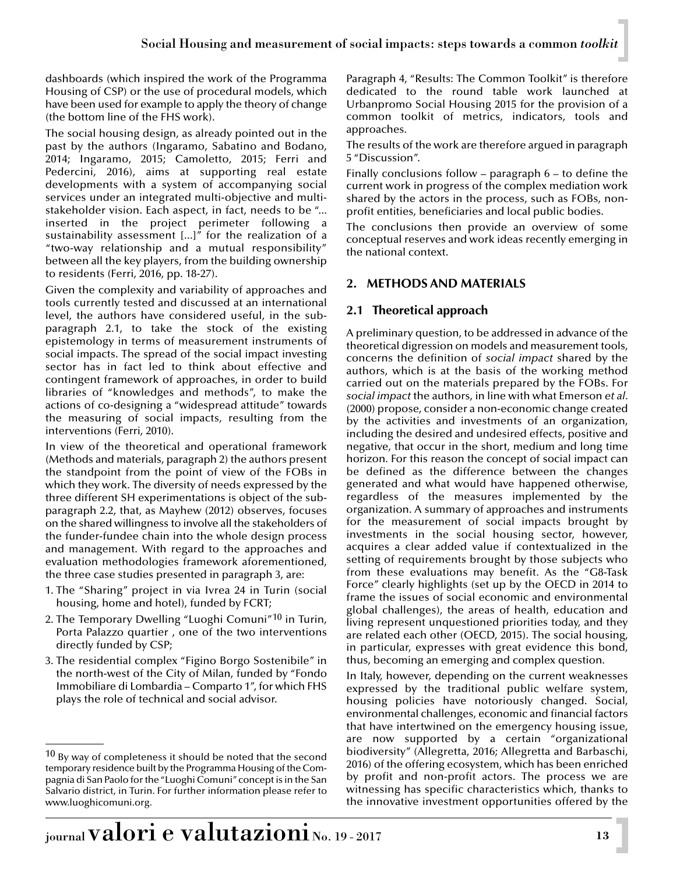dashboards (which inspired the work of the Programma Housing of CSP) or the use of procedural models, which have been used for example to apply the theory of change (the bottom line of the FHS work).

The social housing design, as already pointed out in the past by the authors (Ingaramo, Sabatino and Bodano, 2014; Ingaramo, 2015; Camoletto, 2015; Ferri and Pedercini, 2016), aims at supporting real estate developments with a system of accompanying social services under an integrated multi-objective and multistakeholder vision. Each aspect, in fact, needs to be "... inserted in the project perimeter following a sustainability assessment [...]" for the realization of a "two-way relationship and a mutual responsibility" between all the key players, from the building ownership to residents (Ferri, 2016, pp. 18-27).

Given the complexity and variability of approaches and tools currently tested and discussed at an international level, the authors have considered useful, in the subparagraph 2.1, to take the stock of the existing epistemology in terms of measurement instruments of social impacts. The spread of the social impact investing sector has in fact led to think about effective and contingent framework of approaches, in order to build libraries of "knowledges and methods", to make the actions of co-designing a "widespread attitude" towards the measuring of social impacts, resulting from the interventions (Ferri, 2010).

In view of the theoretical and operational framework (Methods and materials, paragraph 2) the authors present the standpoint from the point of view of the FOBs in which they work. The diversity of needs expressed by the three different SH experimentations is object of the subparagraph 2.2, that, as Mayhew (2012) observes, focuses on the shared willingness to involve all the stakeholders of the funder-fundee chain into the whole design process and management. With regard to the approaches and evaluation methodologies framework aforementioned, the three case studies presented in paragraph 3, are:

- 1. The "Sharing" project in via Ivrea 24 in Turin (social housing, home and hotel), funded by FCRT;
- 2. The Temporary Dwelling "Luoghi Comuni"<sup>10</sup> in Turin, Porta Palazzo quartier , one of the two interventions directly funded by CSP;
- 3. The residential complex "Figino Borgo Sostenibile" in the north-west of the City of Milan, funded by "Fondo Immobiliare di Lombardia – Comparto 1", for which FHS plays the role of technical and social advisor.

Paragraph 4, "Results: The Common Toolkit" is therefore dedicated to the round table work launched at Urbanpromo Social Housing 2015 for the provision of a common toolkit of metrics, indicators, tools and approaches.

The results of the work are therefore argued in paragraph 5 "Discussion".

Finally conclusions follow – paragraph 6 – to define the current work in progress of the complex mediation work shared by the actors in the process, such as FOBs, nonprofit entities, beneficiaries and local public bodies.

The conclusions then provide an overview of some conceptual reserves and work ideas recently emerging in the national context.

## **2. METHODS AND MATERIALS**

## **2.1 Theoretical approach**

A preliminary question, to be addressed in advance of the theoretical digression on models and measurement tools, concerns the definition of *social impact* shared by the authors, which is at the basis of the working method carried out on the materials prepared by the FOBs. For *social impact* the authors, in line with what Emerson *et al*. (2000) propose, consider a non-economic change created by the activities and investments of an organization, including the desired and undesired effects, positive and negative, that occur in the short, medium and long time horizon. For this reason the concept of social impact can be defined as the difference between the changes generated and what would have happened otherwise, regardless of the measures implemented by the organization. A summary of approaches and instruments for the measurement of social impacts brought by investments in the social housing sector, however, acquires a clear added value if contextualized in the setting of requirements brought by those subjects who from these evaluations may benefit. As the "G8-Task Force" clearly highlights (set up by the OECD in 2014 to frame the issues of social economic and environmental global challenges), the areas of health, education and living represent unquestioned priorities today, and they are related each other (OECD, 2015). The social housing, in particular, expresses with great evidence this bond, thus, becoming an emerging and complex question.

In Italy, however, depending on the current weaknesses expressed by the traditional public welfare system, housing policies have notoriously changed. Social, environmental challenges, economic and financial factors that have intertwined on the emergency housing issue, are now supported by a certain "organizational biodiversity" (Allegretta, 2016; Allegretta and Barbaschi, 2016) of the offering ecosystem, which has been enriched by profit and non-profit actors. The process we are witnessing has specific characteristics which, thanks to the innovative investment opportunities offered by the

<sup>10</sup> By way of completeness it should be noted that the second temporary residence built by the Programma Housing of the Compagnia di San Paolo for the "Luoghi Comuni" concept is in the San Salvario district, in Turin. For further information please refer to www.luoghicomuni.org.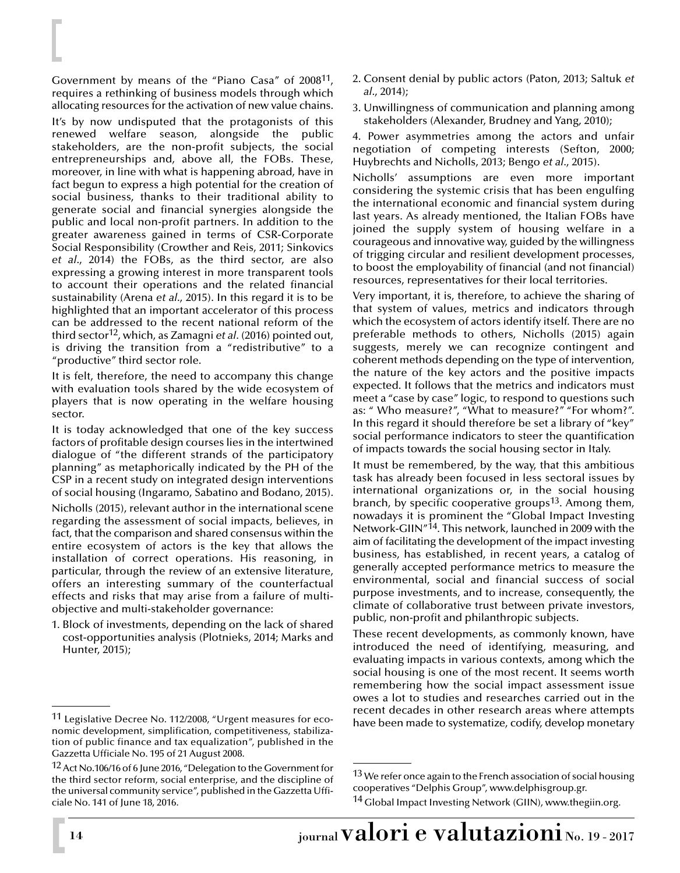Government by means of the "Piano Casa" of 200811, requires a rethinking of business models through which allocating resources for the activation of new value chains. It's by now undisputed that the protagonists of this renewed welfare season, alongside the public stakeholders, are the non-profit subjects, the social entrepreneurships and, above all, the FOBs. These, moreover, in line with what is happening abroad, have in fact begun to express a high potential for the creation of social business, thanks to their traditional ability to generate social and financial synergies alongside the public and local non-profit partners. In addition to the greater awareness gained in terms of CSR-Corporate Social Responsibility (Crowther and Reis, 2011; Sinkovics *et al*., 2014) the FOBs, as the third sector, are also expressing a growing interest in more transparent tools to account their operations and the related financial sustainability (Arena *et al*., 2015). In this regard it is to be highlighted that an important accelerator of this process can be addressed to the recent national reform of the third sector12, which, as Zamagni *et al*. (2016) pointed out, is driving the transition from a "redistributive" to a "productive" third sector role.

It is felt, therefore, the need to accompany this change with evaluation tools shared by the wide ecosystem of players that is now operating in the welfare housing sector.

It is today acknowledged that one of the key success factors of profitable design courses lies in the intertwined dialogue of "the different strands of the participatory planning" as metaphorically indicated by the PH of the CSP in a recent study on integrated design interventions of social housing (Ingaramo, Sabatino and Bodano, 2015).

Nicholls (2015), relevant author in the international scene regarding the assessment of social impacts, believes, in fact, that the comparison and shared consensus within the entire ecosystem of actors is the key that allows the installation of correct operations. His reasoning, in particular, through the review of an extensive literature, offers an interesting summary of the counterfactual effects and risks that may arise from a failure of multiobjective and multi-stakeholder governance:

1. Block of investments, depending on the lack of shared cost-opportunities analysis (Plotnieks, 2014; Marks and Hunter, 2015);

- 2. Consent denial by public actors (Paton, 2013; Saltuk *et al*., 2014);
- 3. Unwillingness of communication and planning among stakeholders (Alexander, Brudney and Yang, 2010);

4. Power asymmetries among the actors and unfair negotiation of competing interests (Sefton, 2000; Huybrechts and Nicholls, 2013; Bengo *et al*., 2015).

Nicholls' assumptions are even more important considering the systemic crisis that has been engulfing the international economic and financial system during last years. As already mentioned, the Italian FOBs have joined the supply system of housing welfare in a courageous and innovative way, guided by the willingness of trigging circular and resilient development processes, to boost the employability of financial (and not financial) resources, representatives for their local territories.

Very important, it is, therefore, to achieve the sharing of that system of values, metrics and indicators through which the ecosystem of actors identify itself. There are no preferable methods to others, Nicholls (2015) again suggests, merely we can recognize contingent and coherent methods depending on the type of intervention, the nature of the key actors and the positive impacts expected. It follows that the metrics and indicators must meet a "case by case" logic, to respond to questions such as: " Who measure?", "What to measure?" "For whom?". In this regard it should therefore be set a library of "key" social performance indicators to steer the quantification of impacts towards the social housing sector in Italy.

It must be remembered, by the way, that this ambitious task has already been focused in less sectoral issues by international organizations or, in the social housing branch, by specific cooperative groups<sup>13</sup>. Among them, nowadays it is prominent the "Global Impact Investing Network-GIIN"14. This network, launched in 2009 with the aim of facilitating the development of the impact investing business, has established, in recent years, a catalog of generally accepted performance metrics to measure the environmental, social and financial success of social purpose investments, and to increase, consequently, the climate of collaborative trust between private investors, public, non-profit and philanthropic subjects.

These recent developments, as commonly known, have introduced the need of identifying, measuring, and evaluating impacts in various contexts, among which the social housing is one of the most recent. It seems worth remembering how the social impact assessment issue owes a lot to studies and researches carried out in the recent decades in other research areas where attempts have been made to systematize, codify, develop monetary

<sup>11</sup> Legislative Decree No. 112/2008, "Urgent measures for economic development, simplification, competitiveness, stabilization of public finance and tax equalization", published in the Gazzetta Ufficiale No. 195 of 21 August 2008.

<sup>&</sup>lt;sup>12</sup> Act No.106/16 of 6 June 2016, "Delegation to the Government for the third sector reform, social enterprise, and the discipline of the universal community service", published in the Gazzetta Ufficiale No. 141 of June 18, 2016.

 $13$  We refer once again to the French association of social housing cooperatives "Delphis Group", www.delphisgroup.gr. <sup>14</sup> Global Impact Investing Network (GIIN), www.thegiin.org.

 $_{\rm 14}$  iournal valori e valutazioni No. 19 - 2017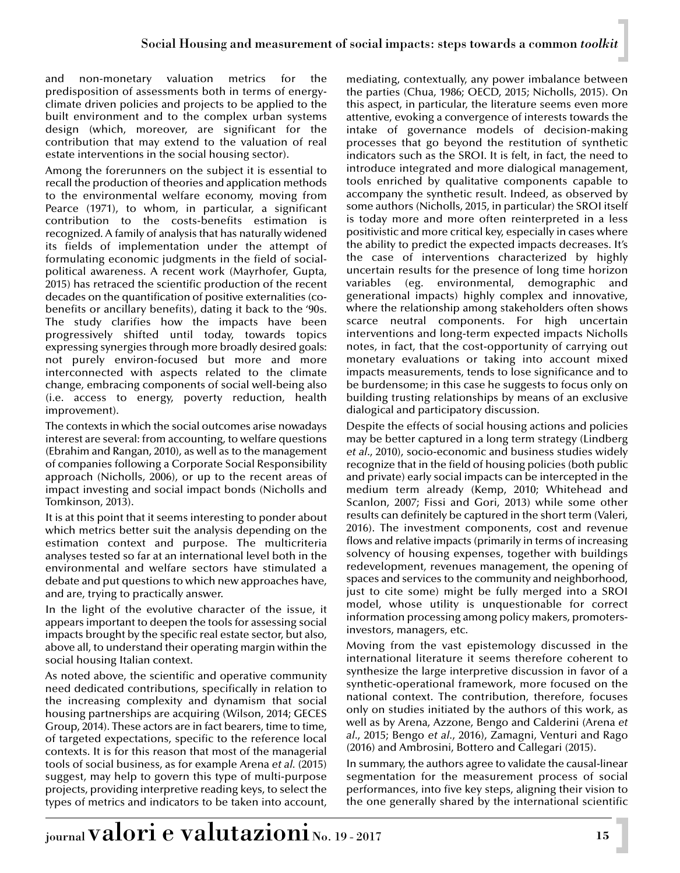and non-monetary valuation metrics for the predisposition of assessments both in terms of energyclimate driven policies and projects to be applied to the built environment and to the complex urban systems design (which, moreover, are significant for the contribution that may extend to the valuation of real estate interventions in the social housing sector).

Among the forerunners on the subject it is essential to recall the production of theories and application methods to the environmental welfare economy, moving from Pearce (1971), to whom, in particular, a significant contribution to the costs-benefits estimation is recognized. A family of analysis that has naturally widened its fields of implementation under the attempt of formulating economic judgments in the field of socialpolitical awareness. A recent work (Mayrhofer, Gupta, 2015) has retraced the scientific production of the recent decades on the quantification of positive externalities (cobenefits or ancillary benefits), dating it back to the '90s. The study clarifies how the impacts have been progressively shifted until today, towards topics expressing synergies through more broadly desired goals: not purely environ-focused but more and more interconnected with aspects related to the climate change, embracing components of social well-being also (i.e. access to energy, poverty reduction, health improvement).

The contexts in which the social outcomes arise nowadays interest are several: from accounting, to welfare questions (Ebrahim and Rangan, 2010), as well as to the management of companies following a Corporate Social Responsibility approach (Nicholls, 2006), or up to the recent areas of impact investing and social impact bonds (Nicholls and Tomkinson, 2013).

It is at this point that it seems interesting to ponder about which metrics better suit the analysis depending on the estimation context and purpose. The multicriteria analyses tested so far at an international level both in the environmental and welfare sectors have stimulated a debate and put questions to which new approaches have, and are, trying to practically answer.

In the light of the evolutive character of the issue, it appears important to deepen the tools for assessing social impacts brought by the specific real estate sector, but also, above all, to understand their operating margin within the social housing Italian context.

As noted above, the scientific and operative community need dedicated contributions, specifically in relation to the increasing complexity and dynamism that social housing partnerships are acquiring (Wilson, 2014; GECES Group, 2014). These actors are in fact bearers, time to time, of targeted expectations, specific to the reference local contexts. It is for this reason that most of the managerial tools of social business, as for example Arena *et al.* (2015) suggest, may help to govern this type of multi-purpose projects, providing interpretive reading keys, to select the types of metrics and indicators to be taken into account,

mediating, contextually, any power imbalance between the parties (Chua, 1986; OECD, 2015; Nicholls, 2015). On this aspect, in particular, the literature seems even more attentive, evoking a convergence of interests towards the intake of governance models of decision-making processes that go beyond the restitution of synthetic indicators such as the SROI. It is felt, in fact, the need to introduce integrated and more dialogical management, tools enriched by qualitative components capable to accompany the synthetic result. Indeed, as observed by some authors (Nicholls, 2015, in particular) the SROI itself is today more and more often reinterpreted in a less positivistic and more critical key, especially in cases where the ability to predict the expected impacts decreases. It's the case of interventions characterized by highly uncertain results for the presence of long time horizon variables (eg. environmental, demographic and generational impacts) highly complex and innovative, where the relationship among stakeholders often shows scarce neutral components. For high uncertain interventions and long-term expected impacts Nicholls notes, in fact, that the cost-opportunity of carrying out monetary evaluations or taking into account mixed impacts measurements, tends to lose significance and to be burdensome; in this case he suggests to focus only on building trusting relationships by means of an exclusive dialogical and participatory discussion.

Despite the effects of social housing actions and policies may be better captured in a long term strategy (Lindberg *et al*., 2010), socio-economic and business studies widely recognize that in the field of housing policies (both public and private) early social impacts can be intercepted in the medium term already (Kemp, 2010; Whitehead and Scanlon, 2007; Fissi and Gori, 2013) while some other results can definitely be captured in the short term (Valeri, 2016). The investment components, cost and revenue flows and relative impacts (primarily in terms of increasing solvency of housing expenses, together with buildings redevelopment, revenues management, the opening of spaces and services to the community and neighborhood, just to cite some) might be fully merged into a SROI model, whose utility is unquestionable for correct information processing among policy makers, promotersinvestors, managers, etc.

Moving from the vast epistemology discussed in the international literature it seems therefore coherent to synthesize the large interpretive discussion in favor of a synthetic-operational framework, more focused on the national context. The contribution, therefore, focuses only on studies initiated by the authors of this work, as well as by Arena, Azzone, Bengo and Calderini (Arena *et al*., 2015; Bengo *et al.*, 2016), Zamagni, Venturi and Rago (2016) and Ambrosini, Bottero and Callegari (2015).

In summary, the authors agree to validate the causal-linear segmentation for the measurement process of social performances, into five key steps, aligning their vision to the one generally shared by the international scientific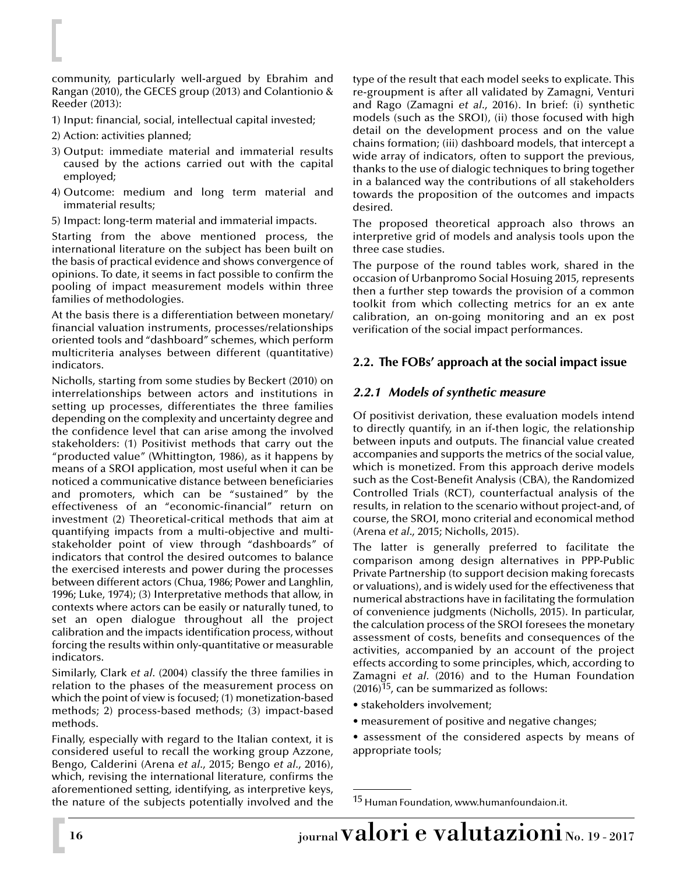community, particularly well-argued by Ebrahim and Rangan (2010), the GECES group (2013) and Colantionio & Reeder (2013):

- 1) Input: financial, social, intellectual capital invested;
- 2) Action: activities planned;
- 3) Output: immediate material and immaterial results caused by the actions carried out with the capital employed;
- 4) Outcome: medium and long term material and immaterial results;
- 5) Impact: long-term material and immaterial impacts.

Starting from the above mentioned process, the international literature on the subject has been built on the basis of practical evidence and shows convergence of opinions. To date, it seems in fact possible to confirm the pooling of impact measurement models within three families of methodologies.

At the basis there is a differentiation between monetary/ financial valuation instruments, processes/relationships oriented tools and "dashboard" schemes, which perform multicriteria analyses between different (quantitative) indicators.

Nicholls, starting from some studies by Beckert (2010) on interrelationships between actors and institutions in setting up processes, differentiates the three families depending on the complexity and uncertainty degree and the confidence level that can arise among the involved stakeholders: (1) Positivist methods that carry out the "producted value" (Whittington, 1986), as it happens by means of a SROI application, most useful when it can be noticed a communicative distance between beneficiaries and promoters, which can be "sustained" by the effectiveness of an "economic-financial" return on investment (2) Theoretical-critical methods that aim at quantifying impacts from a multi-objective and multistakeholder point of view through "dashboards" of indicators that control the desired outcomes to balance the exercised interests and power during the processes between different actors (Chua, 1986; Power and Langhlin, 1996; Luke, 1974); (3) Interpretative methods that allow, in contexts where actors can be easily or naturally tuned, to set an open dialogue throughout all the project calibration and the impacts identification process, without forcing the results within only-quantitative or measurable indicators.

Similarly, Clark *et al*. (2004) classify the three families in relation to the phases of the measurement process on which the point of view is focused; (1) monetization-based methods; 2) process-based methods; (3) impact-based methods.

Finally, especially with regard to the Italian context, it is considered useful to recall the working group Azzone, Bengo, Calderini (Arena *et al*., 2015; Bengo *et al*., 2016), which, revising the international literature, confirms the aforementioned setting, identifying, as interpretive keys, the nature of the subjects potentially involved and the

type of the result that each model seeks to explicate. This re-groupment is after all validated by Zamagni, Venturi and Rago (Zamagni *et al*., 2016). In brief: (i) synthetic models (such as the SROI), (ii) those focused with high detail on the development process and on the value chains formation; (iii) dashboard models, that intercept a wide array of indicators, often to support the previous, thanks to the use of dialogic techniques to bring together in a balanced way the contributions of all stakeholders towards the proposition of the outcomes and impacts desired.

The proposed theoretical approach also throws an interpretive grid of models and analysis tools upon the three case studies.

The purpose of the round tables work, shared in the occasion of Urbanpromo Social Hosuing 2015, represents then a further step towards the provision of a common toolkit from which collecting metrics for an ex ante calibration, an on-going monitoring and an ex post verification of the social impact performances.

#### **2.2. The FOBs' approach at the social impact issue**

#### *2.2.1 Models of synthetic measure*

Of positivist derivation, these evaluation models intend to directly quantify, in an if-then logic, the relationship between inputs and outputs. The financial value created accompanies and supports the metrics of the social value, which is monetized. From this approach derive models such as the Cost-Benefit Analysis (CBA), the Randomized Controlled Trials (RCT), counterfactual analysis of the results, in relation to the scenario without project-and, of course, the SROI, mono criterial and economical method (Arena *et al*., 2015; Nicholls, 2015).

The latter is generally preferred to facilitate the comparison among design alternatives in PPP-Public Private Partnership (to support decision making forecasts or valuations), and is widely used for the effectiveness that numerical abstractions have in facilitating the formulation of convenience judgments (Nicholls, 2015). In particular, the calculation process of the SROI foresees the monetary assessment of costs, benefits and consequences of the activities, accompanied by an account of the project effects according to some principles, which, according to Zamagni *et al.* (2016) and to the Human Foundation  $(2016)^{15}$ , can be summarized as follows:

- stakeholders involvement;
- measurement of positive and negative changes;
- assessment of the considered aspects by means of appropriate tools;

<sup>15</sup> Human Foundation, www.humanfoundaion.it.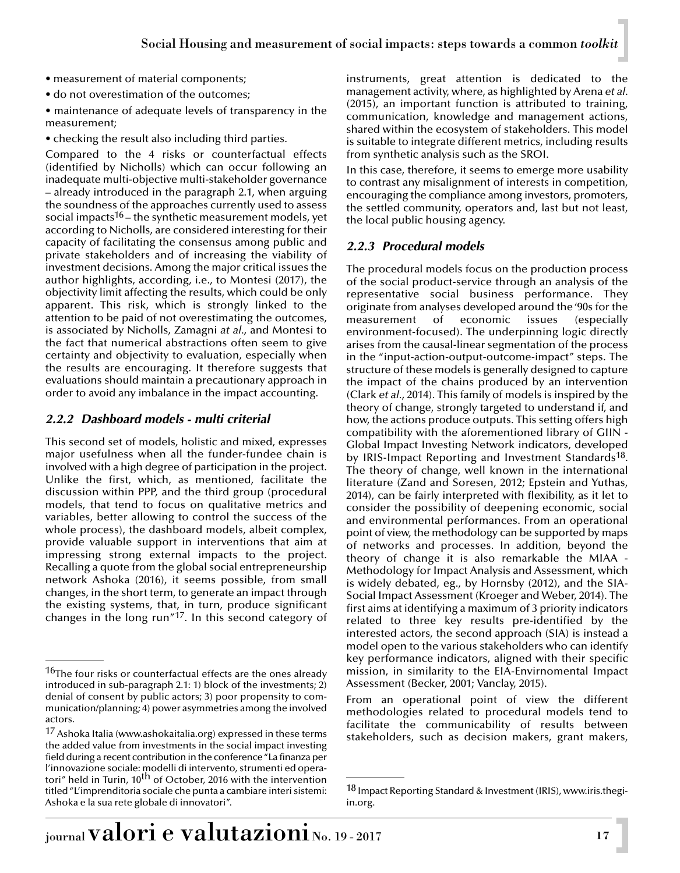- measurement of material components;
- do not overestimation of the outcomes;
- maintenance of adequate levels of transparency in the measurement;
- checking the result also including third parties.

Compared to the 4 risks or counterfactual effects (identified by Nicholls) which can occur following an inadequate multi-objective multi-stakeholder governance – already introduced in the paragraph 2.1, when arguing the soundness of the approaches currently used to assess social impacts<sup>16</sup> – the synthetic measurement models, yet according to Nicholls, are considered interesting for their capacity of facilitating the consensus among public and private stakeholders and of increasing the viability of investment decisions. Among the major critical issues the author highlights, according, i.e., to Montesi (2017), the objectivity limit affecting the results, which could be only apparent. This risk, which is strongly linked to the attention to be paid of not overestimating the outcomes, is associated by Nicholls, Zamagni *at al.,* and Montesi to the fact that numerical abstractions often seem to give certainty and objectivity to evaluation, especially when the results are encouraging. It therefore suggests that evaluations should maintain a precautionary approach in order to avoid any imbalance in the impact accounting.

# *2.2.2 Dashboard models - multi criterial*

This second set of models, holistic and mixed, expresses major usefulness when all the funder-fundee chain is involved with a high degree of participation in the project. Unlike the first, which, as mentioned, facilitate the discussion within PPP, and the third group (procedural models, that tend to focus on qualitative metrics and variables, better allowing to control the success of the whole process), the dashboard models, albeit complex, provide valuable support in interventions that aim at impressing strong external impacts to the project. Recalling a quote from the global social entrepreneurship network Ashoka (2016), it seems possible, from small changes, in the short term, to generate an impact through the existing systems, that, in turn, produce significant changes in the long run"17. In this second category of instruments, great attention is dedicated to the management activity, where, as highlighted by Arena *et al*. (2015), an important function is attributed to training, communication, knowledge and management actions, shared within the ecosystem of stakeholders. This model is suitable to integrate different metrics, including results from synthetic analysis such as the SROI.

In this case, therefore, it seems to emerge more usability to contrast any misalignment of interests in competition, encouraging the compliance among investors, promoters, the settled community, operators and, last but not least, the local public housing agency.

## *2.2.3 Procedural models*

The procedural models focus on the production process of the social product-service through an analysis of the representative social business performance. They originate from analyses developed around the '90s for the measurement of economic issues (especially environment-focused). The underpinning logic directly arises from the causal-linear segmentation of the process in the "input-action-output-outcome-impact" steps. The structure of these models is generally designed to capture the impact of the chains produced by an intervention (Clark *et al.*, 2014). This family of models is inspired by the theory of change, strongly targeted to understand if, and how, the actions produce outputs. This setting offers high compatibility with the aforementioned library of GIIN - Global Impact Investing Network indicators, developed by IRIS-Impact Reporting and Investment Standards<sup>18</sup>. The theory of change, well known in the international literature (Zand and Soresen, 2012; Epstein and Yuthas, 2014), can be fairly interpreted with flexibility, as it let to consider the possibility of deepening economic, social and environmental performances. From an operational point of view, the methodology can be supported by maps of networks and processes. In addition, beyond the theory of change it is also remarkable the MIAA - Methodology for Impact Analysis and Assessment, which is widely debated, eg., by Hornsby (2012), and the SIA-Social Impact Assessment (Kroeger and Weber, 2014). The first aims at identifying a maximum of 3 priority indicators related to three key results pre-identified by the interested actors, the second approach (SIA) is instead a model open to the various stakeholders who can identify key performance indicators, aligned with their specific mission, in similarity to the EIA-Envirnomental Impact Assessment (Becker, 2001; Vanclay, 2015).

From an operational point of view the different methodologies related to procedural models tend to facilitate the communicability of results between stakeholders, such as decision makers, grant makers,

<sup>&</sup>lt;sup>16</sup>The four risks or counterfactual effects are the ones already introduced in sub-paragraph 2.1: 1) block of the investments; 2) denial of consent by public actors; 3) poor propensity to communication/planning; 4) power asymmetries among the involved actors.

<sup>&</sup>lt;sup>17</sup> Ashoka Italia (www.ashokaitalia.org) expressed in these terms the added value from investments in the social impact investing field during a recent contribution in the conference "La finanza per l'innovazione sociale: modelli di intervento, strumenti ed operatori<sup>"</sup> held in Turin, 10<sup>th</sup> of October, 2016 with the intervention titled "L'imprenditoria sociale che punta a cambiare interi sistemi: Ashoka e la sua rete globale di innovatori".

<sup>18</sup> Impact Reporting Standard & Investment (IRIS), www.iris.thegiin.org.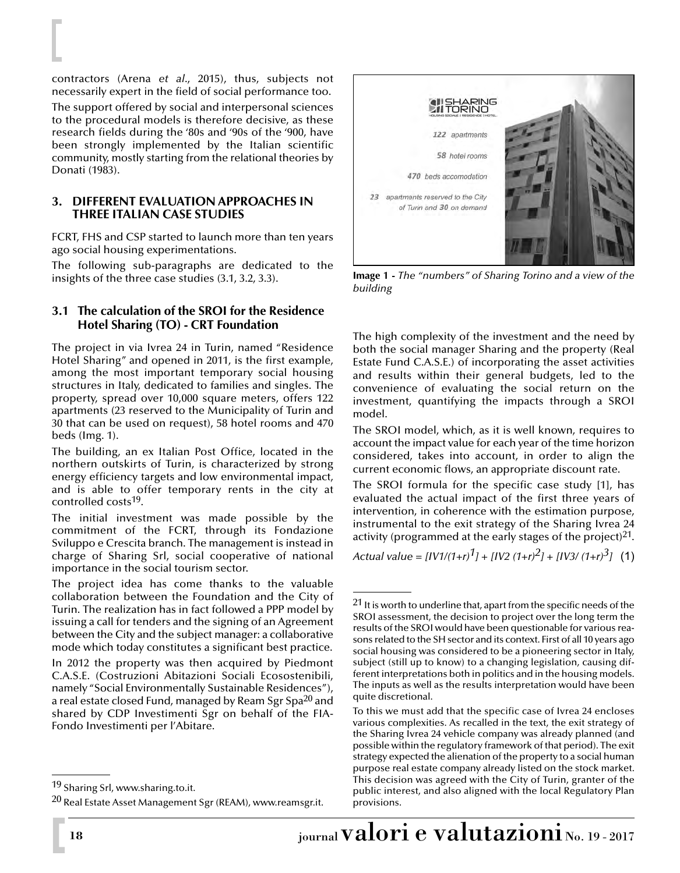contractors (Arena *et al*., 2015), thus, subjects not necessarily expert in the field of social performance too.

The support offered by social and interpersonal sciences to the procedural models is therefore decisive, as these research fields during the '80s and '90s of the '900, have been strongly implemented by the Italian scientific community, mostly starting from the relational theories by Donati (1983).

#### **3. DIFFERENT EVALUATION APPROACHES IN THREE ITALIAN CASE STUDIES**

FCRT, FHS and CSP started to launch more than ten years ago social housing experimentations.

The following sub-paragraphs are dedicated to the insights of the three case studies (3.1, 3.2, 3.3).

#### **3.1 The calculation of the SROI for the Residence Hotel Sharing (TO) - CRT Foundation**

The project in via Ivrea 24 in Turin, named "Residence Hotel Sharing" and opened in 2011, is the first example, among the most important temporary social housing structures in Italy, dedicated to families and singles. The property, spread over 10,000 square meters, offers 122 apartments (23 reserved to the Municipality of Turin and 30 that can be used on request), 58 hotel rooms and 470 beds (Img. 1).

The building, an ex Italian Post Office, located in the northern outskirts of Turin, is characterized by strong energy efficiency targets and low environmental impact, and is able to offer temporary rents in the city at controlled costs<sup>19</sup>.

The initial investment was made possible by the commitment of the FCRT, through its Fondazione Sviluppo e Crescita branch. The management is instead in charge of Sharing Srl, social cooperative of national importance in the social tourism sector.

The project idea has come thanks to the valuable collaboration between the Foundation and the City of Turin. The realization has in fact followed a PPP model by issuing a call for tenders and the signing of an Agreement between the City and the subject manager: a collaborative mode which today constitutes a significant best practice.

In 2012 the property was then acquired by Piedmont C.A.S.E. (Costruzioni Abitazioni Sociali Ecosostenibili, namely "Social Environmentally Sustainable Residences"), a real estate closed Fund, managed by Ream Sgr Spa<sup>20</sup> and shared by CDP Investimenti Sgr on behalf of the FIA-Fondo Investimenti per l'Abitare.



**Image 1 -** *The "numbers" of Sharing Torino and a view of the building* 

The high complexity of the investment and the need by both the social manager Sharing and the property (Real Estate Fund C.A.S.E.) of incorporating the asset activities and results within their general budgets, led to the convenience of evaluating the social return on the investment, quantifying the impacts through a SROI model.

The SROI model, which, as it is well known, requires to account the impact value for each year of the time horizon considered, takes into account, in order to align the current economic flows, an appropriate discount rate.

The SROI formula for the specific case study [1], has evaluated the actual impact of the first three years of intervention, in coherence with the estimation purpose, instrumental to the exit strategy of the Sharing Ivrea 24 activity (programmed at the early stages of the project)21.

*Actual value =*  $[IV1/(1+r)^{1}] + [IV2 (1+r)^{2}] + [IV3/(1+r)^{3}]$  (1)

<sup>19</sup> Sharing Srl, www.sharing.to.it.

<sup>20</sup> Real Estate Asset Management Sgr (REAM), www.reamsgr.it.

 $21$  It is worth to underline that, apart from the specific needs of the SROI assessment, the decision to project over the long term the results of the SROI would have been questionable for various reasons related to the SH sector and its context. First of all 10 years ago social housing was considered to be a pioneering sector in Italy, subject (still up to know) to a changing legislation, causing different interpretations both in politics and in the housing models. The inputs as well as the results interpretation would have been quite discretional.

To this we must add that the specific case of Ivrea 24 encloses various complexities. As recalled in the text, the exit strategy of the Sharing Ivrea 24 vehicle company was already planned (and possible within the regulatory framework of that period). The exit strategy expected the alienation of the property to a social human purpose real estate company already listed on the stock market. This decision was agreed with the City of Turin, granter of the public interest, and also aligned with the local Regulatory Plan provisions.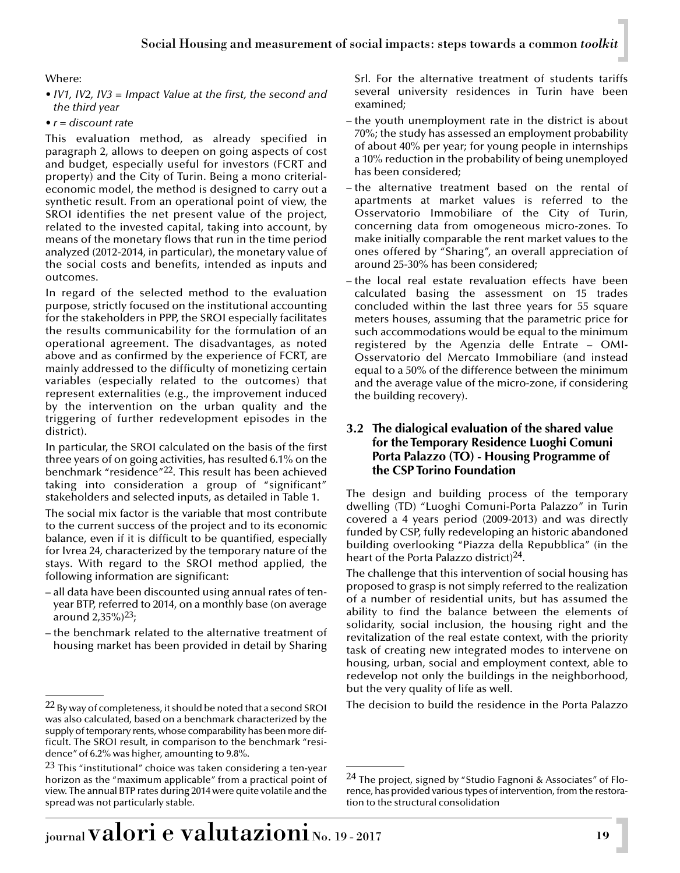#### Where:

- *IV1, IV2, IV3 = Impact Value at the first, the second and the third year*
- *r = discount rate*

This evaluation method, as already specified in paragraph 2, allows to deepen on going aspects of cost and budget, especially useful for investors (FCRT and property) and the City of Turin. Being a mono criterialeconomic model, the method is designed to carry out a synthetic result. From an operational point of view, the SROI identifies the net present value of the project, related to the invested capital, taking into account, by means of the monetary flows that run in the time period analyzed (2012-2014, in particular), the monetary value of the social costs and benefits, intended as inputs and outcomes.

In regard of the selected method to the evaluation purpose, strictly focused on the institutional accounting for the stakeholders in PPP, the SROI especially facilitates the results communicability for the formulation of an operational agreement. The disadvantages, as noted above and as confirmed by the experience of FCRT, are mainly addressed to the difficulty of monetizing certain variables (especially related to the outcomes) that represent externalities (e.g., the improvement induced by the intervention on the urban quality and the triggering of further redevelopment episodes in the district).

In particular, the SROI calculated on the basis of the first three years of on going activities, has resulted 6.1% on the benchmark "residence"22. This result has been achieved taking into consideration a group of "significant" stakeholders and selected inputs, as detailed in Table 1.

The social mix factor is the variable that most contribute to the current success of the project and to its economic balance, even if it is difficult to be quantified, especially for Ivrea 24, characterized by the temporary nature of the stays. With regard to the SROI method applied, the following information are significant:

- all data have been discounted using annual rates of tenyear BTP, referred to 2014, on a monthly base (on average around  $2.35\%$ ) $^{23}$ :
- the benchmark related to the alternative treatment of housing market has been provided in detail by Sharing

Srl. For the alternative treatment of students tariffs several university residences in Turin have been examined;

- the youth unemployment rate in the district is about 70%; the study has assessed an employment probability of about 40% per year; for young people in internships a 10% reduction in the probability of being unemployed has been considered;
- the alternative treatment based on the rental of apartments at market values is referred to the Osservatorio Immobiliare of the City of Turin, concerning data from omogeneous micro-zones. To make initially comparable the rent market values to the ones offered by "Sharing", an overall appreciation of around 25-30% has been considered;
- the local real estate revaluation effects have been calculated basing the assessment on 15 trades concluded within the last three years for 55 square meters houses, assuming that the parametric price for such accommodations would be equal to the minimum registered by the Agenzia delle Entrate – OMI-Osservatorio del Mercato Immobiliare (and instead equal to a 50% of the difference between the minimum and the average value of the micro-zone, if considering the building recovery).

#### **3.2 The dialogical evaluation of the shared value for the Temporary Residence Luoghi Comuni Porta Palazzo (TO) - Housing Programme of the CSP Torino Foundation**

The design and building process of the temporary dwelling (TD) "Luoghi Comuni-Porta Palazzo" in Turin covered a 4 years period (2009-2013) and was directly funded by CSP, fully redeveloping an historic abandoned building overlooking "Piazza della Repubblica" (in the heart of the Porta Palazzo district)<sup>24</sup>.

The challenge that this intervention of social housing has proposed to grasp is not simply referred to the realization of a number of residential units, but has assumed the ability to find the balance between the elements of solidarity, social inclusion, the housing right and the revitalization of the real estate context, with the priority task of creating new integrated modes to intervene on housing, urban, social and employment context, able to redevelop not only the buildings in the neighborhood, but the very quality of life as well.

The decision to build the residence in the Porta Palazzo

<sup>&</sup>lt;sup>22</sup> By way of completeness, it should be noted that a second SROI was also calculated, based on a benchmark characterized by the supply of temporary rents, whose comparability has been more difficult. The SROI result, in comparison to the benchmark "residence" of 6.2% was higher, amounting to 9.8%.

 $23$  This "institutional" choice was taken considering a ten-year horizon as the "maximum applicable" from a practical point of view. The annual BTP rates during 2014 were quite volatile and the spread was not particularly stable.

 $24$  The project, signed by "Studio Fagnoni & Associates" of Florence, has provided various types of intervention, from the restoration to the structural consolidation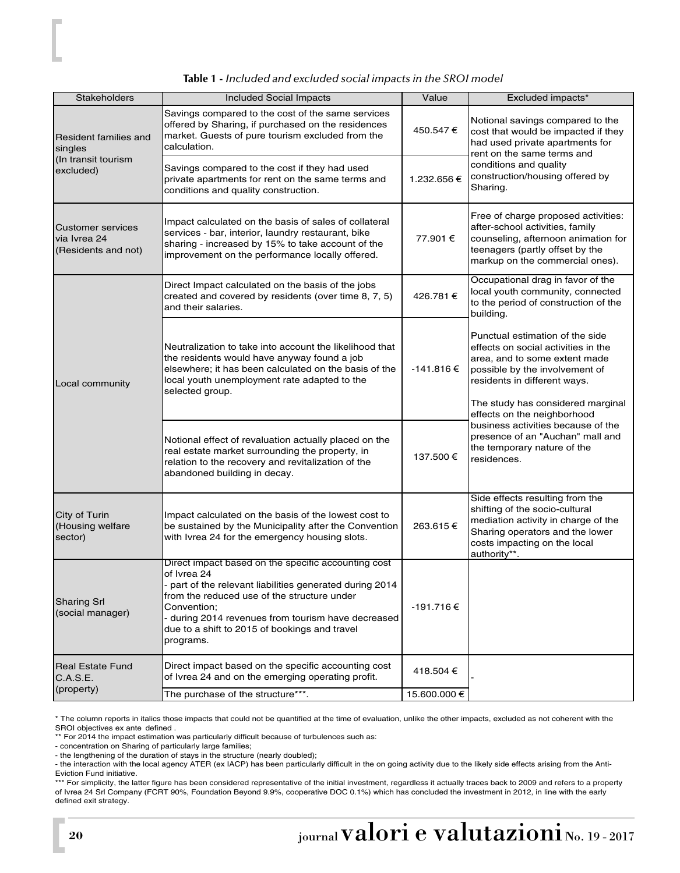| <b>Stakeholders</b>                                      | <b>Included Social Impacts</b>                                                                                                                                                                                                                                                                                 | Value        | Excluded impacts*                                                                                                                                                                                              |  |
|----------------------------------------------------------|----------------------------------------------------------------------------------------------------------------------------------------------------------------------------------------------------------------------------------------------------------------------------------------------------------------|--------------|----------------------------------------------------------------------------------------------------------------------------------------------------------------------------------------------------------------|--|
| Resident families and<br>singles                         | Savings compared to the cost of the same services<br>offered by Sharing, if purchased on the residences<br>market. Guests of pure tourism excluded from the<br>calculation.                                                                                                                                    | 450.547€     | Notional savings compared to the<br>cost that would be impacted if they<br>had used private apartments for<br>rent on the same terms and                                                                       |  |
| (In transit tourism<br>excluded)                         | Savings compared to the cost if they had used<br>private apartments for rent on the same terms and<br>conditions and quality construction.                                                                                                                                                                     | 1.232.656 €  | conditions and quality<br>construction/housing offered by<br>Sharing.                                                                                                                                          |  |
| Customer services<br>via Ivrea 24<br>(Residents and not) | Impact calculated on the basis of sales of collateral<br>services - bar, interior, laundry restaurant, bike<br>sharing - increased by 15% to take account of the<br>improvement on the performance locally offered.                                                                                            | 77.901 €     | Free of charge proposed activities:<br>after-school activities, family<br>counseling, afternoon animation for<br>teenagers (partly offset by the<br>markup on the commercial ones).                            |  |
|                                                          | Direct Impact calculated on the basis of the jobs<br>created and covered by residents (over time 8, 7, 5)<br>and their salaries.                                                                                                                                                                               | 426.781 €    | Occupational drag in favor of the<br>local youth community, connected<br>to the period of construction of the<br>building.                                                                                     |  |
| Local community                                          | Neutralization to take into account the likelihood that<br>the residents would have anyway found a job<br>elsewhere; it has been calculated on the basis of the<br>local youth unemployment rate adapted to the<br>selected group.                                                                             | -141.816 €   | Punctual estimation of the side<br>effects on social activities in the<br>area, and to some extent made<br>possible by the involvement of<br>residents in different ways.<br>The study has considered marginal |  |
|                                                          | Notional effect of revaluation actually placed on the<br>real estate market surrounding the property, in<br>relation to the recovery and revitalization of the<br>abandoned building in decay.                                                                                                                 | 137.500 €    | effects on the neighborhood<br>business activities because of the<br>presence of an "Auchan" mall and<br>the temporary nature of the<br>residences.                                                            |  |
| City of Turin<br>(Housing welfare<br>sector)             | Impact calculated on the basis of the lowest cost to<br>be sustained by the Municipality after the Convention<br>with Ivrea 24 for the emergency housing slots.                                                                                                                                                | 263.615€     | Side effects resulting from the<br>shifting of the socio-cultural<br>mediation activity in charge of the<br>Sharing operators and the lower<br>costs impacting on the local<br>authority**.                    |  |
| Sharing Srl<br>(social manager)                          | Direct impact based on the specific accounting cost<br>of Ivrea 24<br>part of the relevant liabilities generated during 2014<br>from the reduced use of the structure under<br>Convention;<br>- during 2014 revenues from tourism have decreased<br>due to a shift to 2015 of bookings and travel<br>programs. | -191.716€    |                                                                                                                                                                                                                |  |
| <b>Real Estate Fund</b><br>C.A.S.E.<br>(property)        | Direct impact based on the specific accounting cost<br>of Ivrea 24 and on the emerging operating profit.                                                                                                                                                                                                       | 418.504€     |                                                                                                                                                                                                                |  |
|                                                          | The purchase of the structure***.                                                                                                                                                                                                                                                                              | 15.600.000 € |                                                                                                                                                                                                                |  |

**Table 1 -** *Included and excluded social impacts in the SROI model*

<sup>\*</sup> The column reports in italics those impacts that could not be quantified at the time of evaluation, unlike the other impacts, excluded as not coherent with the SROI objectives ex ante defined .

<sup>\*\*</sup> For 2014 the impact estimation was particularly difficult because of turbulences such as:

<sup>-</sup> concentration on Sharing of particularly large families;

<sup>-</sup> the lengthening of the duration of stays in the structure (nearly doubled);

<sup>-</sup> the interaction with the local agency ATER (ex IACP) has been particularly difficult in the on going activity due to the likely side effects arising from the Anti-Eviction Fund initiative.

<sup>\*\*\*</sup> For simplicity, the latter figure has been considered representative of the initial investment, regardless it actually traces back to 2009 and refers to a property of Ivrea 24 Srl Company (FCRT 90%, Foundation Beyond 9.9%, cooperative DOC 0.1%) which has concluded the investment in 2012, in line with the early defined exit strategy.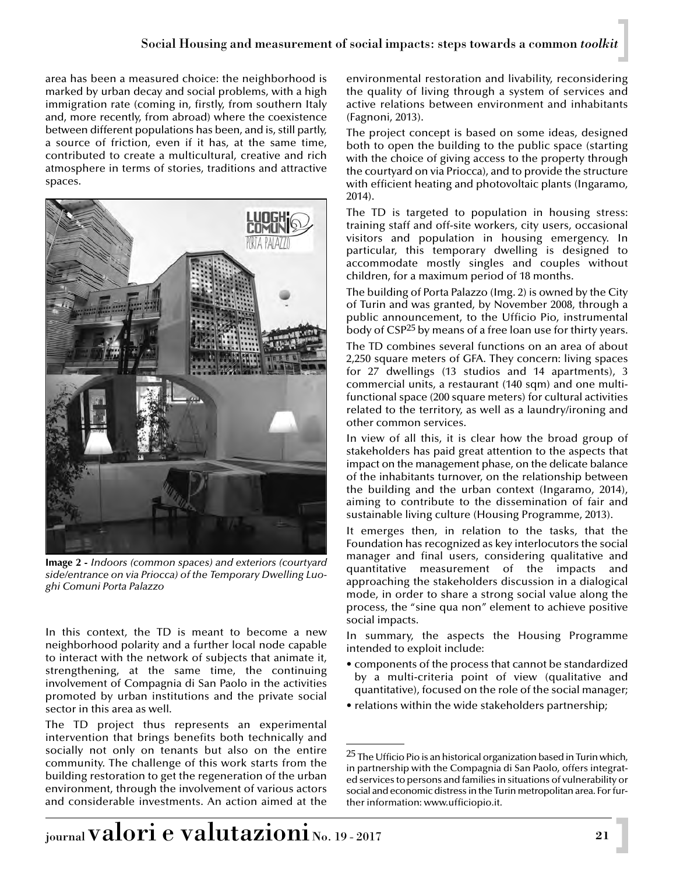area has been a measured choice: the neighborhood is marked by urban decay and social problems, with a high immigration rate (coming in, firstly, from southern Italy and, more recently, from abroad) where the coexistence between different populations has been, and is, still partly, a source of friction, even if it has, at the same time, contributed to create a multicultural, creative and rich atmosphere in terms of stories, traditions and attractive spaces.



**Image 2 -** *Indoors (common spaces) and exteriors (courtyard side/entrance on via Priocca) of the Temporary Dwelling Luoghi Comuni Porta Palazzo*

In this context, the TD is meant to become a new neighborhood polarity and a further local node capable to interact with the network of subjects that animate it, strengthening, at the same time, the continuing involvement of Compagnia di San Paolo in the activities promoted by urban institutions and the private social sector in this area as well.

The TD project thus represents an experimental intervention that brings benefits both technically and socially not only on tenants but also on the entire community. The challenge of this work starts from the building restoration to get the regeneration of the urban environment, through the involvement of various actors and considerable investments. An action aimed at the environmental restoration and livability, reconsidering the quality of living through a system of services and active relations between environment and inhabitants (Fagnoni, 2013).

The project concept is based on some ideas, designed both to open the building to the public space (starting with the choice of giving access to the property through the courtyard on via Priocca), and to provide the structure with efficient heating and photovoltaic plants (Ingaramo, 2014).

The TD is targeted to population in housing stress: training staff and off-site workers, city users, occasional visitors and population in housing emergency. In particular, this temporary dwelling is designed to accommodate mostly singles and couples without children, for a maximum period of 18 months.

The building of Porta Palazzo (Img. 2) is owned by the City of Turin and was granted, by November 2008, through a public announcement, to the Ufficio Pio, instrumental body of CSP25 by means of a free loan use for thirty years.

The TD combines several functions on an area of about 2,250 square meters of GFA. They concern: living spaces for 27 dwellings (13 studios and 14 apartments), 3 commercial units, a restaurant (140 sqm) and one multifunctional space (200 square meters) for cultural activities related to the territory, as well as a laundry/ironing and other common services.

In view of all this, it is clear how the broad group of stakeholders has paid great attention to the aspects that impact on the management phase, on the delicate balance of the inhabitants turnover, on the relationship between the building and the urban context (Ingaramo, 2014), aiming to contribute to the dissemination of fair and sustainable living culture (Housing Programme, 2013).

It emerges then, in relation to the tasks, that the Foundation has recognized as key interlocutors the social manager and final users, considering qualitative and quantitative measurement of the impacts and approaching the stakeholders discussion in a dialogical mode, in order to share a strong social value along the process, the "sine qua non" element to achieve positive social impacts.

In summary, the aspects the Housing Programme intended to exploit include:

- components of the process that cannot be standardized by a multi-criteria point of view (qualitative and quantitative), focused on the role of the social manager;
- relations within the wide stakeholders partnership;

<sup>25</sup> The Ufficio Pio is an historical organization based in Turin which, in partnership with the Compagnia di San Paolo, offers integrated services to persons and families in situations of vulnerability or social and economic distress in the Turin metropolitan area. For further information: www.ufficiopio.it.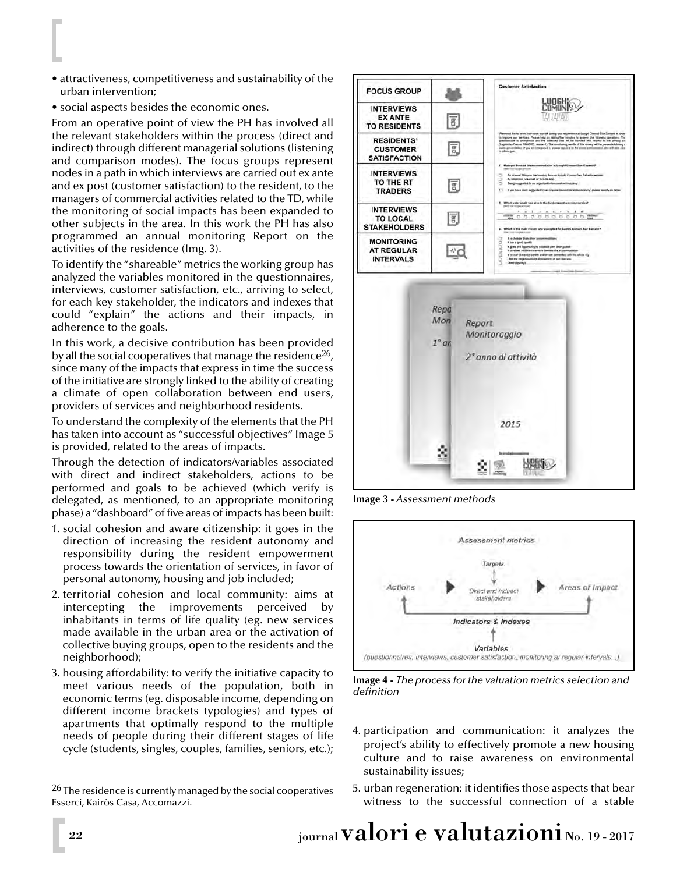- attractiveness, competitiveness and sustainability of the urban intervention;
- social aspects besides the economic ones.

From an operative point of view the PH has involved all the relevant stakeholders within the process (direct and indirect) through different managerial solutions (listening and comparison modes). The focus groups represent nodes in a path in which interviews are carried out ex ante and ex post (customer satisfaction) to the resident, to the managers of commercial activities related to the TD, while the monitoring of social impacts has been expanded to other subjects in the area. In this work the PH has also programmed an annual monitoring Report on the activities of the residence (Img. 3).

To identify the "shareable" metrics the working group has analyzed the variables monitored in the questionnaires, interviews, customer satisfaction, etc., arriving to select, for each key stakeholder, the indicators and indexes that could "explain" the actions and their impacts, in adherence to the goals.

In this work, a decisive contribution has been provided by all the social cooperatives that manage the residence<sup>26</sup>, since many of the impacts that express in time the success of the initiative are strongly linked to the ability of creating a climate of open collaboration between end users, providers of services and neighborhood residents.

To understand the complexity of the elements that the PH has taken into account as "successful objectives" Image 5 is provided, related to the areas of impacts.

Through the detection of indicators/variables associated with direct and indirect stakeholders, actions to be performed and goals to be achieved (which verify is delegated, as mentioned, to an appropriate monitoring phase) a "dashboard" of five areas of impacts has been built:

- 1. social cohesion and aware citizenship: it goes in the direction of increasing the resident autonomy and responsibility during the resident empowerment process towards the orientation of services, in favor of personal autonomy, housing and job included;
- 2. territorial cohesion and local community: aims at intercepting the improvements perceived by inhabitants in terms of life quality (eg. new services made available in the urban area or the activation of collective buying groups, open to the residents and the neighborhood);
- 3. housing affordability: to verify the initiative capacity to meet various needs of the population, both in economic terms (eg. disposable income, depending on different income brackets typologies) and types of apartments that optimally respond to the multiple needs of people during their different stages of life cycle (students, singles, couples, families, seniors, etc.);



**Image 3 -** *Assessment methods* 



**Image 4 -** *The process for the valuation metrics selection and definition*

- 4. participation and communication: it analyzes the project's ability to effectively promote a new housing culture and to raise awareness on environmental sustainability issues;
- 5. urban regeneration: it identifies those aspects that bear witness to the successful connection of a stable

<sup>26</sup> The residence is currently managed by the social cooperatives Esserci, Kairòs Casa, Accomazzi.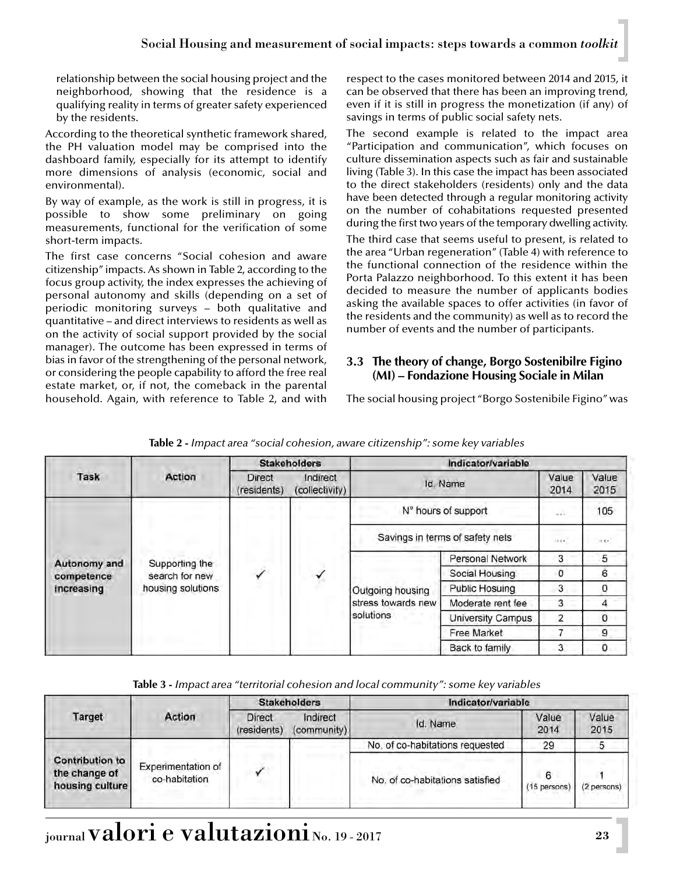relationship between the social housing project and the neighborhood, showing that the residence is a qualifying reality in terms of greater safety experienced by the residents.

According to the theoretical synthetic framework shared, the PH valuation model may be comprised into the dashboard family, especially for its attempt to identify more dimensions of analysis (economic, social and environmental).

By way of example, as the work is still in progress, it is possible to show some preliminary on going measurements, functional for the verification of some short-term impacts.

The first case concerns "Social cohesion and aware citizenship" impacts. As shown in Table 2, according to the focus group activity, the index expresses the achieving of personal autonomy and skills (depending on a set of periodic monitoring surveys – both qualitative and quantitative – and direct interviews to residents as well as on the activity of social support provided by the social manager). The outcome has been expressed in terms of bias in favor of the strengthening of the personal network, or considering the people capability to afford the free real estate market, or, if not, the comeback in the parental household. Again, with reference to Table 2, and with respect to the cases monitored between 2014 and 2015, it can be observed that there has been an improving trend, even if it is still in progress the monetization (if any) of savings in terms of public social safety nets.

The second example is related to the impact area "Participation and communication", which focuses on culture dissemination aspects such as fair and sustainable living (Table 3). In this case the impact has been associated to the direct stakeholders (residents) only and the data have been detected through a regular monitoring activity on the number of cohabitations requested presented during the first two years of the temporary dwelling activity.

The third case that seems useful to present, is related to the area "Urban regeneration" (Table 4) with reference to the functional connection of the residence within the Porta Palazzo neighborhood. To this extent it has been decided to measure the number of applicants bodies asking the available spaces to offer activities (in favor of the residents and the community) as well as to record the number of events and the number of participants.

#### **3.3 The theory of change, Borgo Sostenibilre Figino (MI) – Fondazione Housing Sociale in Milan**

The social housing project "Borgo Sostenibile Figino" was

|              |                                                       |                       | <b>Stakeholders</b>        | Indicator/variable              |                   |                |                    |  |
|--------------|-------------------------------------------------------|-----------------------|----------------------------|---------------------------------|-------------------|----------------|--------------------|--|
| Task         | Action                                                | Direct<br>(residents) | Indirect<br>(collectivity) | Id. Name                        |                   | Value<br>2014  | Value<br>2015      |  |
|              | Supporting the<br>search for new<br>housing solutions |                       | ✓                          | N° hours of support             |                   | le e si        | 105                |  |
|              |                                                       |                       |                            | Savings in terms of safety nets |                   | $118 - 1$      | $x \in \mathbb{R}$ |  |
| Autonomy and |                                                       |                       |                            |                                 | Personal Network  | 3              | 5                  |  |
| competence   |                                                       |                       |                            |                                 | Social Housing    | $\sigma$       | 6                  |  |
| increasing   |                                                       |                       |                            | Outgoing housing                | Public Hosuing    | 3              | 0                  |  |
|              |                                                       |                       |                            | stress towards new              | Moderate rent fee | 3              | 4                  |  |
|              |                                                       |                       |                            | solutions                       | University Campus | $\overline{2}$ | $\mathbf 0$        |  |
|              |                                                       |                       |                            |                                 | Free Market       |                | 9                  |  |
|              |                                                       |                       |                            |                                 | Back to family    | 3              | 0                  |  |

#### **Table 2 -** *Impact area "social cohesion, aware citizenship": some key variables*

## **Table 3 -** *Impact area "territorial cohesion and local community": some key variables*

|                                                            |                                     | <b>Stakeholders</b>          |                         | Indicator/variable              |                   |               |  |
|------------------------------------------------------------|-------------------------------------|------------------------------|-------------------------|---------------------------------|-------------------|---------------|--|
| Target                                                     | Action                              | <b>Direct</b><br>(residents) | Indirect<br>(community) | Id. Name                        | Value<br>2014     | Value<br>2015 |  |
|                                                            |                                     |                              |                         | No. of co-habitations requested | 29                |               |  |
| <b>Contribution to</b><br>the change of<br>housing culture | Experimentation of<br>co-habitation |                              |                         | No. of co-habitations satisfied | 6<br>(15 persons) | (2 persons)   |  |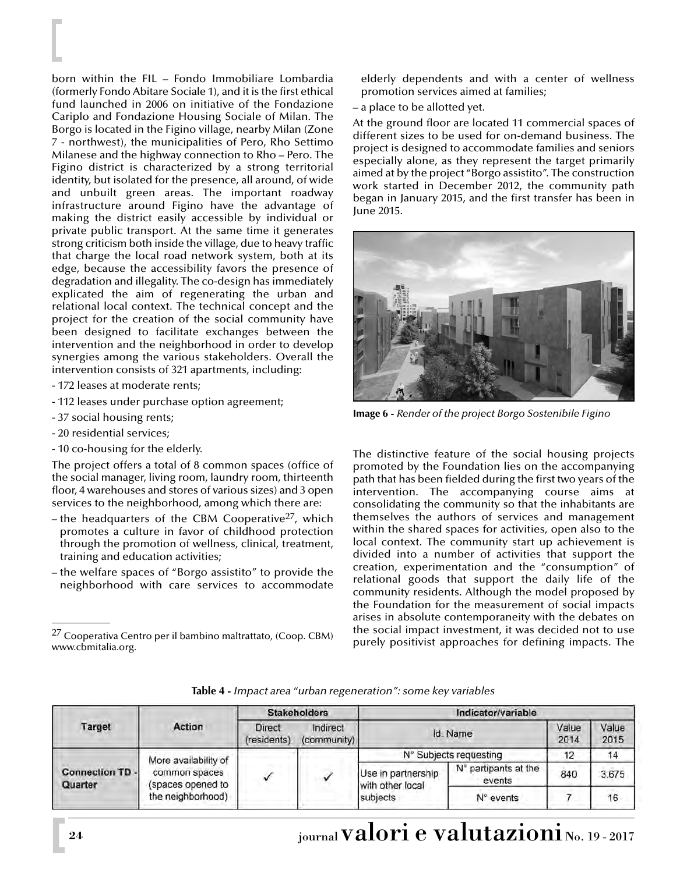born within the FIL – Fondo Immobiliare Lombardia (formerly Fondo Abitare Sociale 1), and it is the first ethical fund launched in 2006 on initiative of the Fondazione Cariplo and Fondazione Housing Sociale of Milan. The Borgo is located in the Figino village, nearby Milan (Zone 7 - northwest), the municipalities of Pero, Rho Settimo Milanese and the highway connection to Rho – Pero. The Figino district is characterized by a strong territorial identity, but isolated for the presence, all around, of wide and unbuilt green areas. The important roadway infrastructure around Figino have the advantage of making the district easily accessible by individual or private public transport. At the same time it generates strong criticism both inside the village, due to heavy traffic that charge the local road network system, both at its edge, because the accessibility favors the presence of degradation and illegality. The co-design has immediately explicated the aim of regenerating the urban and relational local context. The technical concept and the project for the creation of the social community have been designed to facilitate exchanges between the intervention and the neighborhood in order to develop synergies among the various stakeholders. Overall the intervention consists of 321 apartments, including:

- 172 leases at moderate rents;
- 112 leases under purchase option agreement;
- 37 social housing rents;
- 20 residential services;
- 10 co-housing for the elderly.

The project offers a total of 8 common spaces (office of the social manager, living room, laundry room, thirteenth floor, 4 warehouses and stores of various sizes) and 3 open services to the neighborhood, among which there are:

- $-$  the headquarters of the CBM Cooperative<sup>27</sup>, which promotes a culture in favor of childhood protection through the promotion of wellness, clinical, treatment, training and education activities;
- the welfare spaces of "Borgo assistito" to provide the neighborhood with care services to accommodate

elderly dependents and with a center of wellness promotion services aimed at families;

– a place to be allotted yet.

At the ground floor are located 11 commercial spaces of different sizes to be used for on-demand business. The project is designed to accommodate families and seniors especially alone, as they represent the target primarily aimed at by the project "Borgo assistito". The construction work started in December 2012, the community path began in January 2015, and the first transfer has been in June 2015.



**Image 6 -** *Render of the project Borgo Sostenibile Figino*

The distinctive feature of the social housing projects promoted by the Foundation lies on the accompanying path that has been fielded during the first two years of the intervention. The accompanying course aims at consolidating the community so that the inhabitants are themselves the authors of services and management within the shared spaces for activities, open also to the local context. The community start up achievement is divided into a number of activities that support the creation, experimentation and the "consumption" of relational goods that support the daily life of the community residents. Although the model proposed by the Foundation for the measurement of social impacts arises in absolute contemporaneity with the debates on the social impact investment, it was decided not to use purely positivist approaches for defining impacts. The

|  |  | Table 4 - Impact area "urban regeneration": some key variables |
|--|--|----------------------------------------------------------------|
|--|--|----------------------------------------------------------------|

|                                   |                                                         | <b>Stakeholders</b>          |                         | Indicator/variable                                 |                                |               |               |
|-----------------------------------|---------------------------------------------------------|------------------------------|-------------------------|----------------------------------------------------|--------------------------------|---------------|---------------|
| Target                            | Action                                                  | <b>Direct</b><br>(residents) | Indirect<br>(community) |                                                    | Id. Name                       | Value<br>2014 | Value<br>2015 |
|                                   | More availability of                                    |                              |                         | N° Subjects requesting                             |                                | 12            | 14            |
| <b>Connection TD -</b><br>Quarter | common spaces<br>(spaces opened to<br>the neighborhood) |                              |                         | Use in partnership<br>with other local<br>subjects | N° partipants at the<br>events | 840           | 3.675         |
|                                   |                                                         |                              |                         |                                                    | $N^{\circ}$ events             |               | 16            |

<sup>27</sup> Cooperativa Centro per il bambino maltrattato, (Coop. CBM) www.cbmitalia.org.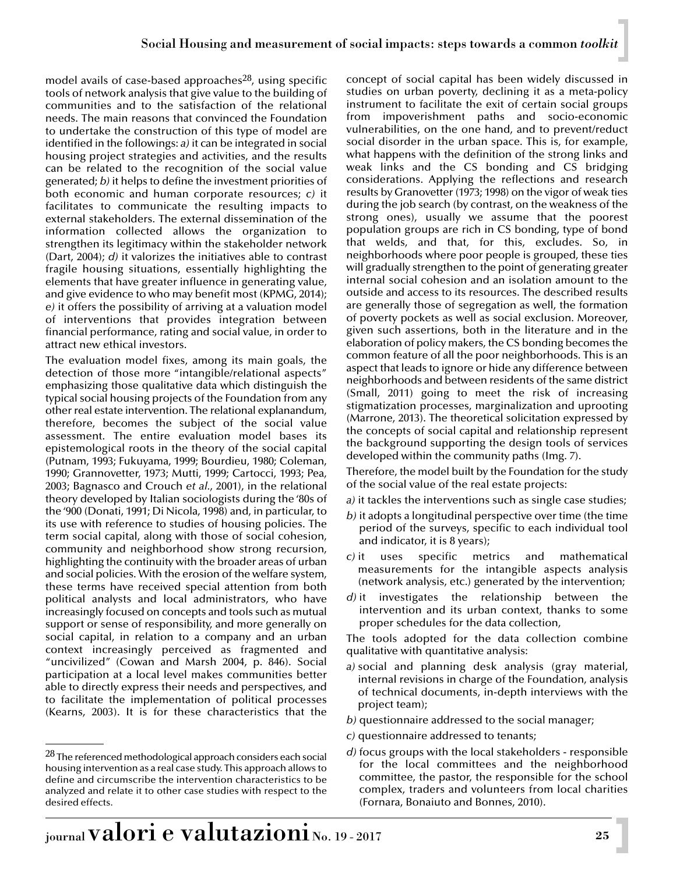model avails of case-based approaches $28$ , using specific tools of network analysis that give value to the building of communities and to the satisfaction of the relational needs. The main reasons that convinced the Foundation to undertake the construction of this type of model are identified in the followings: *a)* it can be integrated in social housing project strategies and activities, and the results can be related to the recognition of the social value generated; *b)* it helps to define the investment priorities of both economic and human corporate resources; *c)* it facilitates to communicate the resulting impacts to external stakeholders. The external dissemination of the information collected allows the organization to strengthen its legitimacy within the stakeholder network (Dart, 2004); *d)* it valorizes the initiatives able to contrast fragile housing situations, essentially highlighting the elements that have greater influence in generating value, and give evidence to who may benefit most (KPMG, 2014); *e)* it offers the possibility of arriving at a valuation model of interventions that provides integration between financial performance, rating and social value, in order to attract new ethical investors.

The evaluation model fixes, among its main goals, the detection of those more "intangible/relational aspects" emphasizing those qualitative data which distinguish the typical social housing projects of the Foundation from any other real estate intervention. The relational explanandum, therefore, becomes the subject of the social value assessment. The entire evaluation model bases its epistemological roots in the theory of the social capital (Putnam, 1993; Fukuyama, 1999; Bourdieu, 1980; Coleman, 1990; Grannovetter, 1973; Mutti, 1999; Cartocci, 1993; Pea, 2003; Bagnasco and Crouch *et al.*, 2001), in the relational theory developed by Italian sociologists during the '80s of the '900 (Donati, 1991; Di Nicola, 1998) and, in particular, to its use with reference to studies of housing policies. The term social capital, along with those of social cohesion, community and neighborhood show strong recursion, highlighting the continuity with the broader areas of urban and social policies. With the erosion of the welfare system, these terms have received special attention from both political analysts and local administrators, who have increasingly focused on concepts and tools such as mutual support or sense of responsibility, and more generally on social capital, in relation to a company and an urban context increasingly perceived as fragmented and "uncivilized" (Cowan and Marsh 2004, p. 846). Social participation at a local level makes communities better able to directly express their needs and perspectives, and to facilitate the implementation of political processes (Kearns, 2003). It is for these characteristics that the concept of social capital has been widely discussed in studies on urban poverty, declining it as a meta-policy instrument to facilitate the exit of certain social groups from impoverishment paths and socio-economic vulnerabilities, on the one hand, and to prevent/reduct social disorder in the urban space. This is, for example, what happens with the definition of the strong links and weak links and the CS bonding and CS bridging considerations. Applying the reflections and research results by Granovetter (1973; 1998) on the vigor of weak ties during the job search (by contrast, on the weakness of the strong ones), usually we assume that the poorest population groups are rich in CS bonding, type of bond that welds, and that, for this, excludes. So, in neighborhoods where poor people is grouped, these ties will gradually strengthen to the point of generating greater internal social cohesion and an isolation amount to the outside and access to its resources. The described results are generally those of segregation as well, the formation of poverty pockets as well as social exclusion. Moreover, given such assertions, both in the literature and in the elaboration of policy makers, the CS bonding becomes the common feature of all the poor neighborhoods. This is an aspect that leads to ignore or hide any difference between neighborhoods and between residents of the same district (Small, 2011) going to meet the risk of increasing stigmatization processes, marginalization and uprooting (Marrone, 2013). The theoretical solicitation expressed by the concepts of social capital and relationship represent the background supporting the design tools of services developed within the community paths (Img. 7).

Therefore, the model built by the Foundation for the study of the social value of the real estate projects:

- *a)* it tackles the interventions such as single case studies;
- *b)* it adopts a longitudinal perspective over time (the time period of the surveys, specific to each individual tool and indicator, it is 8 years);
- *c)* it uses specific metrics and mathematical measurements for the intangible aspects analysis (network analysis, etc.) generated by the intervention;
- *d)* it investigates the relationship between the intervention and its urban context, thanks to some proper schedules for the data collection,

The tools adopted for the data collection combine qualitative with quantitative analysis:

- *a)* social and planning desk analysis (gray material, internal revisions in charge of the Foundation, analysis of technical documents, in-depth interviews with the project team);
- *b)* questionnaire addressed to the social manager;
- *c)* questionnaire addressed to tenants;
- *d)* focus groups with the local stakeholders responsible for the local committees and the neighborhood committee, the pastor, the responsible for the school complex, traders and volunteers from local charities (Fornara, Bonaiuto and Bonnes, 2010).

<sup>28</sup> The referenced methodological approach considers each social housing intervention as a real case study. This approach allows to define and circumscribe the intervention characteristics to be analyzed and relate it to other case studies with respect to the desired effects.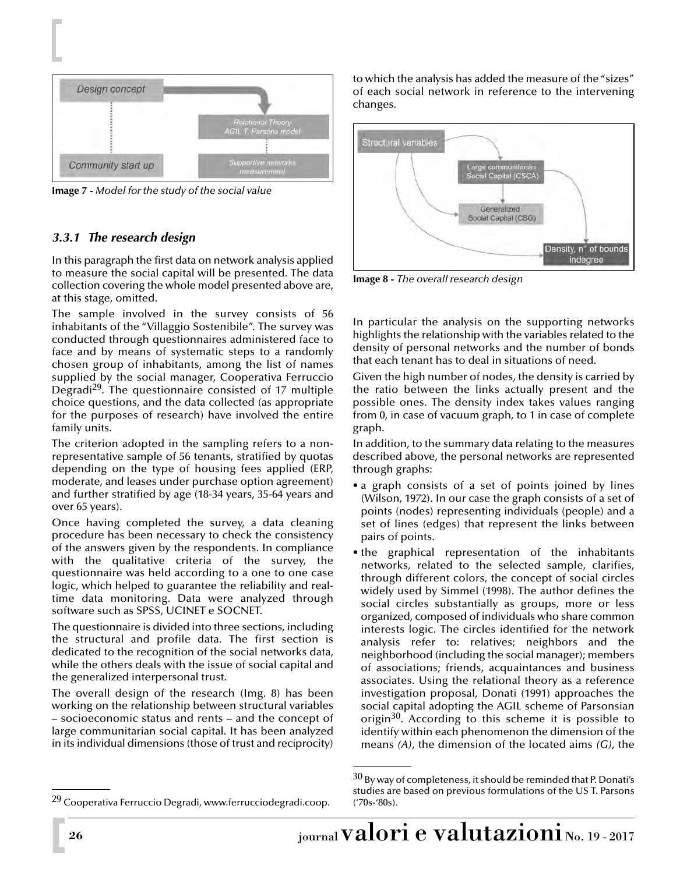

**Image 7 -** *Model for the study of the social value*

#### *3.3.1 The research design*

In this paragraph the first data on network analysis applied to measure the social capital will be presented. The data collection covering the whole model presented above are, at this stage, omitted.

The sample involved in the survey consists of 56 inhabitants of the "Villaggio Sostenibile". The survey was conducted through questionnaires administered face to face and by means of systematic steps to a randomly chosen group of inhabitants, among the list of names supplied by the social manager, Cooperativa Ferruccio Degradi29. The questionnaire consisted of 17 multiple choice questions, and the data collected (as appropriate for the purposes of research) have involved the entire family units.

The criterion adopted in the sampling refers to a nonrepresentative sample of 56 tenants, stratified by quotas depending on the type of housing fees applied (ERP, moderate, and leases under purchase option agreement) and further stratified by age (18-34 years, 35-64 years and over 65 years).

Once having completed the survey, a data cleaning procedure has been necessary to check the consistency of the answers given by the respondents. In compliance with the qualitative criteria of the survey, the questionnaire was held according to a one to one case logic, which helped to guarantee the reliability and realtime data monitoring. Data were analyzed through software such as SPSS, UCINET e SOCNET.

The questionnaire is divided into three sections, including the structural and profile data. The first section is dedicated to the recognition of the social networks data, while the others deals with the issue of social capital and the generalized interpersonal trust.

The overall design of the research (Img. 8) has been working on the relationship between structural variables – socioeconomic status and rents – and the concept of large communitarian social capital. It has been analyzed in its individual dimensions (those of trust and reciprocity) to which the analysis has added the measure of the "sizes" of each social network in reference to the intervening changes.



**Image 8 -** *The overall research design*

In particular the analysis on the supporting networks highlights the relationship with the variables related to the density of personal networks and the number of bonds that each tenant has to deal in situations of need.

Given the high number of nodes, the density is carried by the ratio between the links actually present and the possible ones. The density index takes values ranging from 0, in case of vacuum graph, to 1 in case of complete graph.

In addition, to the summary data relating to the measures described above, the personal networks are represented through graphs:

- a graph consists of a set of points joined by lines (Wilson, 1972). In our case the graph consists of a set of points (nodes) representing individuals (people) and a set of lines (edges) that represent the links between pairs of points.
- the graphical representation of the inhabitants networks, related to the selected sample, clarifies, through different colors, the concept of social circles widely used by Simmel (1998). The author defines the social circles substantially as groups, more or less organized, composed of individuals who share common interests logic. The circles identified for the network analysis refer to: relatives; neighbors and the neighborhood (including the social manager); members of associations; friends, acquaintances and business associates. Using the relational theory as a reference investigation proposal, Donati (1991) approaches the social capital adopting the AGIL scheme of Parsonsian origin $30$ . According to this scheme it is possible to identify within each phenomenon the dimension of the means *(A)*, the dimension of the located aims *(G)*, the

 $30$  By way of completeness, it should be reminded that P. Donati's studies are based on previous formulations of the US T. Parsons ('70s-'80s).

<sup>&</sup>lt;sup>29</sup> Cooperativa Ferruccio Degradi, www.ferrucciodegradi.coop.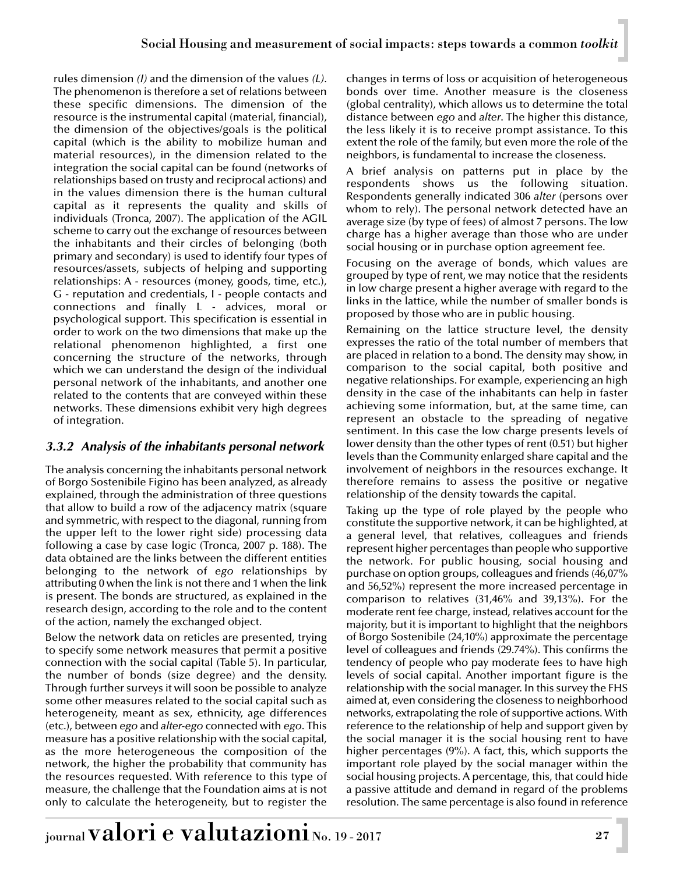rules dimension *(I)* and the dimension of the values *(L)*. The phenomenon is therefore a set of relations between these specific dimensions. The dimension of the resource is the instrumental capital (material, financial), the dimension of the objectives/goals is the political capital (which is the ability to mobilize human and material resources), in the dimension related to the integration the social capital can be found (networks of relationships based on trusty and reciprocal actions) and in the values dimension there is the human cultural capital as it represents the quality and skills of individuals (Tronca, 2007). The application of the AGIL scheme to carry out the exchange of resources between the inhabitants and their circles of belonging (both primary and secondary) is used to identify four types of resources/assets, subjects of helping and supporting relationships: A - resources (money, goods, time, etc.), G - reputation and credentials, I - people contacts and connections and finally L - advices, moral or psychological support. This specification is essential in order to work on the two dimensions that make up the relational phenomenon highlighted, a first one concerning the structure of the networks, through which we can understand the design of the individual personal network of the inhabitants, and another one related to the contents that are conveyed within these networks. These dimensions exhibit very high degrees of integration.

# *3.3.2 Analysis of the inhabitants personal network*

The analysis concerning the inhabitants personal network of Borgo Sostenibile Figino has been analyzed, as already explained, through the administration of three questions that allow to build a row of the adjacency matrix (square and symmetric, with respect to the diagonal, running from the upper left to the lower right side) processing data following a case by case logic (Tronca, 2007 p. 188). The data obtained are the links between the different entities belonging to the network of *ego* relationships by attributing 0 when the link is not there and 1 when the link is present. The bonds are structured, as explained in the research design, according to the role and to the content of the action, namely the exchanged object.

Below the network data on reticles are presented, trying to specify some network measures that permit a positive connection with the social capital (Table 5). In particular, the number of bonds (size degree) and the density. Through further surveys it will soon be possible to analyze some other measures related to the social capital such as heterogeneity, meant as sex, ethnicity, age differences (etc.), between *ego* and *alter-ego* connected with *ego*. This measure has a positive relationship with the social capital, as the more heterogeneous the composition of the network, the higher the probability that community has the resources requested. With reference to this type of measure, the challenge that the Foundation aims at is not only to calculate the heterogeneity, but to register the changes in terms of loss or acquisition of heterogeneous bonds over time. Another measure is the closeness (global centrality), which allows us to determine the total distance between *ego* and *alter*. The higher this distance, the less likely it is to receive prompt assistance. To this extent the role of the family, but even more the role of the neighbors, is fundamental to increase the closeness.

A brief analysis on patterns put in place by the respondents shows us the following situation. Respondents generally indicated 306 *alter* (persons over whom to rely). The personal network detected have an average size (by type of fees) of almost 7 persons. The low charge has a higher average than those who are under social housing or in purchase option agreement fee.

Focusing on the average of bonds, which values are grouped by type of rent, we may notice that the residents in low charge present a higher average with regard to the links in the lattice, while the number of smaller bonds is proposed by those who are in public housing.

Remaining on the lattice structure level, the density expresses the ratio of the total number of members that are placed in relation to a bond. The density may show, in comparison to the social capital, both positive and negative relationships. For example, experiencing an high density in the case of the inhabitants can help in faster achieving some information, but, at the same time, can represent an obstacle to the spreading of negative sentiment. In this case the low charge presents levels of lower density than the other types of rent (0.51) but higher levels than the Community enlarged share capital and the involvement of neighbors in the resources exchange. It therefore remains to assess the positive or negative relationship of the density towards the capital.

Taking up the type of role played by the people who constitute the supportive network, it can be highlighted, at a general level, that relatives, colleagues and friends represent higher percentages than people who supportive the network. For public housing, social housing and purchase on option groups, colleagues and friends (46,07% and 56,52%) represent the more increased percentage in comparison to relatives (31,46% and 39,13%). For the moderate rent fee charge, instead, relatives account for the majority, but it is important to highlight that the neighbors of Borgo Sostenibile (24,10%) approximate the percentage level of colleagues and friends (29.74%). This confirms the tendency of people who pay moderate fees to have high levels of social capital. Another important figure is the relationship with the social manager. In this survey the FHS aimed at, even considering the closeness to neighborhood networks, extrapolating the role of supportive actions. With reference to the relationship of help and support given by the social manager it is the social housing rent to have higher percentages (9%). A fact, this, which supports the important role played by the social manager within the social housing projects. A percentage, this, that could hide a passive attitude and demand in regard of the problems resolution. The same percentage is also found in reference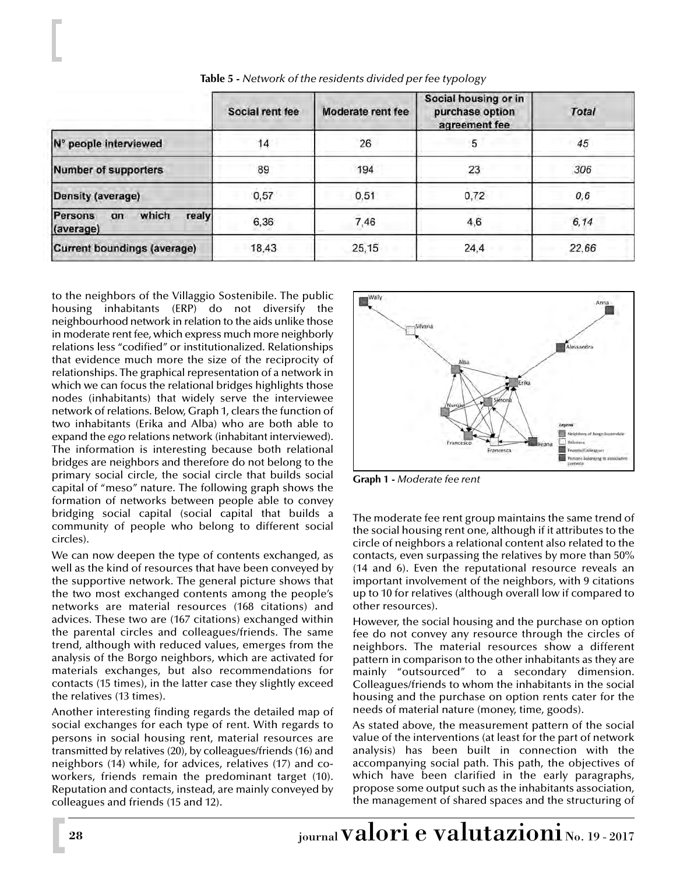|                                              | Social rent fee | Moderate rent fee | Social housing or in<br>purchase option<br>agreement fee | <b>Total</b> |
|----------------------------------------------|-----------------|-------------------|----------------------------------------------------------|--------------|
| N° people interviewed                        | 14              | 26                | 5                                                        | 45           |
| Number of supporters                         | 89              | 194               | 23                                                       | 306          |
| Density (average)                            | 0.57            | 0,51              | 0,72                                                     | 0.6          |
| Persons<br>which<br>realy<br>on<br>(average) | 6,36            | 7,46              | 4,6                                                      | 6, 14        |
| <b>Current boundings (average)</b>           | 18,43           | 25,15             | 24.4                                                     | 22.66        |

**Table 5 -** *Network of the residents divided per fee typology*

to the neighbors of the Villaggio Sostenibile. The public housing inhabitants (ERP) do not diversify the neighbourhood network in relation to the aids unlike those in moderate rent fee, which express much more neighborly relations less "codified" or institutionalized. Relationships that evidence much more the size of the reciprocity of relationships. The graphical representation of a network in which we can focus the relational bridges highlights those nodes (inhabitants) that widely serve the interviewee network of relations. Below, Graph 1, clears the function of two inhabitants (Erika and Alba) who are both able to expand the *ego* relations network (inhabitant interviewed). The information is interesting because both relational bridges are neighbors and therefore do not belong to the primary social circle, the social circle that builds social capital of "meso" nature. The following graph shows the formation of networks between people able to convey bridging social capital (social capital that builds a community of people who belong to different social circles).

We can now deepen the type of contents exchanged, as well as the kind of resources that have been conveyed by the supportive network. The general picture shows that the two most exchanged contents among the people's networks are material resources (168 citations) and advices. These two are (167 citations) exchanged within the parental circles and colleagues/friends. The same trend, although with reduced values, emerges from the analysis of the Borgo neighbors, which are activated for materials exchanges, but also recommendations for contacts (15 times), in the latter case they slightly exceed the relatives (13 times).

Another interesting finding regards the detailed map of social exchanges for each type of rent. With regards to persons in social housing rent, material resources are transmitted by relatives (20), by colleagues/friends (16) and neighbors (14) while, for advices, relatives (17) and coworkers, friends remain the predominant target (10). Reputation and contacts, instead, are mainly conveyed by colleagues and friends (15 and 12).



**Graph 1 -** *Moderate fee rent*

The moderate fee rent group maintains the same trend of the social housing rent one, although if it attributes to the circle of neighbors a relational content also related to the contacts, even surpassing the relatives by more than 50% (14 and 6). Even the reputational resource reveals an important involvement of the neighbors, with 9 citations up to 10 for relatives (although overall low if compared to other resources).

However, the social housing and the purchase on option fee do not convey any resource through the circles of neighbors. The material resources show a different pattern in comparison to the other inhabitants as they are mainly "outsourced" to a secondary dimension. Colleagues/friends to whom the inhabitants in the social housing and the purchase on option rents cater for the needs of material nature (money, time, goods).

As stated above, the measurement pattern of the social value of the interventions (at least for the part of network analysis) has been built in connection with the accompanying social path. This path, the objectives of which have been clarified in the early paragraphs, propose some output such as the inhabitants association, the management of shared spaces and the structuring of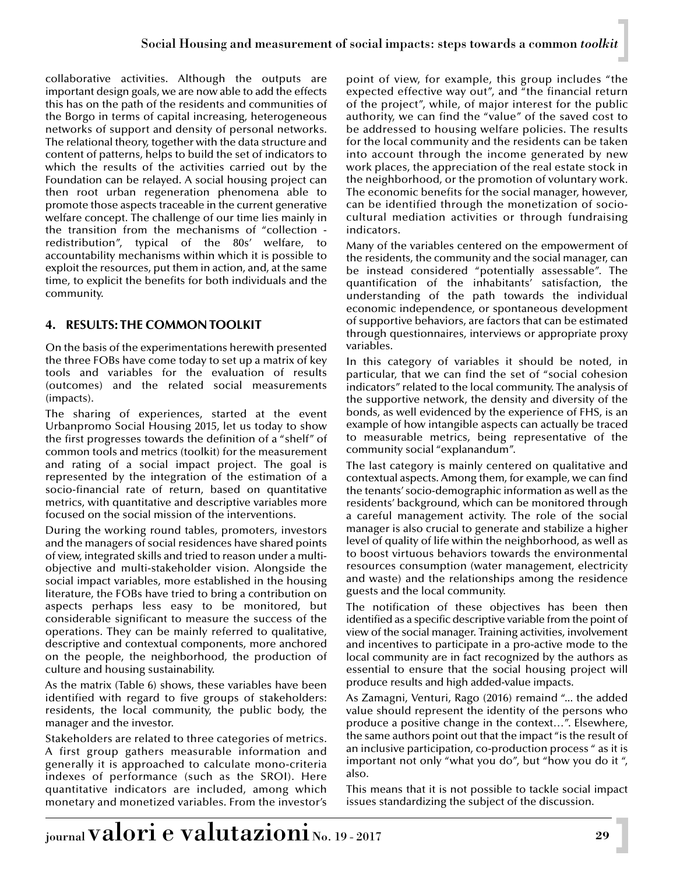collaborative activities. Although the outputs are important design goals, we are now able to add the effects this has on the path of the residents and communities of the Borgo in terms of capital increasing, heterogeneous networks of support and density of personal networks. The relational theory, together with the data structure and content of patterns, helps to build the set of indicators to which the results of the activities carried out by the Foundation can be relayed. A social housing project can then root urban regeneration phenomena able to promote those aspects traceable in the current generative welfare concept. The challenge of our time lies mainly in the transition from the mechanisms of "collection redistribution", typical of the 80s' welfare, to accountability mechanisms within which it is possible to exploit the resources, put them in action, and, at the same time, to explicit the benefits for both individuals and the community.

# **4. RESULTS: THE COMMON TOOLKIT**

On the basis of the experimentations herewith presented the three FOBs have come today to set up a matrix of key tools and variables for the evaluation of results (outcomes) and the related social measurements (impacts).

The sharing of experiences, started at the event Urbanpromo Social Housing 2015, let us today to show the first progresses towards the definition of a "shelf" of common tools and metrics (toolkit) for the measurement and rating of a social impact project. The goal is represented by the integration of the estimation of a socio-financial rate of return, based on quantitative metrics, with quantitative and descriptive variables more focused on the social mission of the interventions.

During the working round tables, promoters, investors and the managers of social residences have shared points of view, integrated skills and tried to reason under a multiobjective and multi-stakeholder vision. Alongside the social impact variables, more established in the housing literature, the FOBs have tried to bring a contribution on aspects perhaps less easy to be monitored, but considerable significant to measure the success of the operations. They can be mainly referred to qualitative, descriptive and contextual components, more anchored on the people, the neighborhood, the production of culture and housing sustainability.

As the matrix (Table 6) shows, these variables have been identified with regard to five groups of stakeholders: residents, the local community, the public body, the manager and the investor.

Stakeholders are related to three categories of metrics. A first group gathers measurable information and generally it is approached to calculate mono-criteria indexes of performance (such as the SROI). Here quantitative indicators are included, among which monetary and monetized variables. From the investor's

point of view, for example, this group includes "the expected effective way out", and "the financial return of the project", while, of major interest for the public authority, we can find the "value" of the saved cost to be addressed to housing welfare policies. The results for the local community and the residents can be taken into account through the income generated by new work places, the appreciation of the real estate stock in the neighborhood, or the promotion of voluntary work. The economic benefits for the social manager, however, can be identified through the monetization of sociocultural mediation activities or through fundraising indicators.

Many of the variables centered on the empowerment of the residents, the community and the social manager, can be instead considered "potentially assessable". The quantification of the inhabitants' satisfaction, the understanding of the path towards the individual economic independence, or spontaneous development of supportive behaviors, are factors that can be estimated through questionnaires, interviews or appropriate proxy variables.

In this category of variables it should be noted, in particular, that we can find the set of "social cohesion indicators" related to the local community. The analysis of the supportive network, the density and diversity of the bonds, as well evidenced by the experience of FHS, is an example of how intangible aspects can actually be traced to measurable metrics, being representative of the community social "explanandum".

The last category is mainly centered on qualitative and contextual aspects. Among them, for example, we can find the tenants' socio-demographic information as well as the residents' background, which can be monitored through a careful management activity. The role of the social manager is also crucial to generate and stabilize a higher level of quality of life within the neighborhood, as well as to boost virtuous behaviors towards the environmental resources consumption (water management, electricity and waste) and the relationships among the residence guests and the local community.

The notification of these objectives has been then identified as a specific descriptive variable from the point of view of the social manager. Training activities, involvement and incentives to participate in a pro-active mode to the local community are in fact recognized by the authors as essential to ensure that the social housing project will produce results and high added-value impacts.

As Zamagni, Venturi, Rago (2016) remaind "... the added value should represent the identity of the persons who produce a positive change in the context…". Elsewhere, the same authors point out that the impact "is the result of an inclusive participation, co-production process " as it is important not only "what you do", but "how you do it ", also.

This means that it is not possible to tackle social impact issues standardizing the subject of the discussion.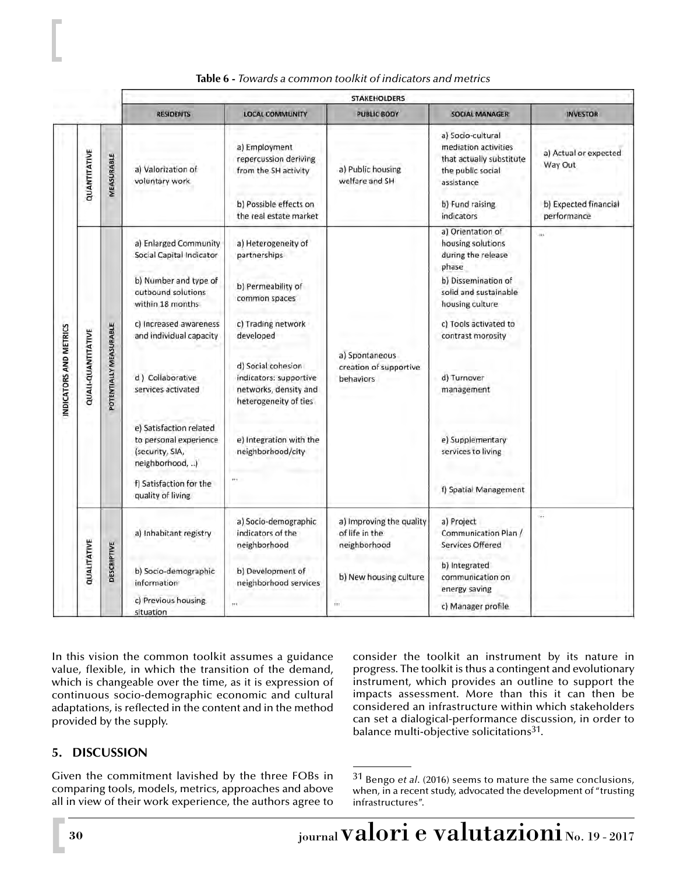|                               |                    |                        | <b>STAKEHOLDERS</b>                                                                                                  |                                                                                                                                         |                                                            |                                                                                                                                           |                                                                          |  |  |  |
|-------------------------------|--------------------|------------------------|----------------------------------------------------------------------------------------------------------------------|-----------------------------------------------------------------------------------------------------------------------------------------|------------------------------------------------------------|-------------------------------------------------------------------------------------------------------------------------------------------|--------------------------------------------------------------------------|--|--|--|
|                               |                    |                        | <b>RESIDENTS</b>                                                                                                     | <b>LOCAL COMMUNITY</b>                                                                                                                  | <b>PUBLIC BODY</b>                                         | <b>SOCIAL MANAGER</b>                                                                                                                     | <b>INVESTOR</b>                                                          |  |  |  |
| <b>INDICATORS AND METRICS</b> | QUANTITATIVE       | MEASURABLE             | a) Valorization of<br>voluntary work                                                                                 | a) Employment<br>repercussion deriving<br>from the SH activity<br>b) Possible effects on<br>the real estate market                      | a) Public housing<br>welfare and SH                        | a) Socio-cultural<br>mediation activities<br>that actually substitute<br>the public social<br>assistance<br>b) Fund raising<br>indicators | a) Actual or expected<br>Way Out<br>b) Expected financial<br>performance |  |  |  |
|                               |                    |                        | a) Enlarged Community<br>Social Capital Indicator<br>b) Number and type of<br>outbound solutions<br>within 18 months | a) Heterogeneity of<br>partnerships<br>b) Permeability of<br>common spaces                                                              | a) Spontaneous<br>creation of supportive<br>behaviors.     | a) Orientation of<br>housing solutions<br>during the release<br>phase<br>b) Dissemination of<br>solid and sustainable<br>housing culture. | àis                                                                      |  |  |  |
|                               | QUALI-QUANTITATIVE | POTENTIALLY MEASURABLE | c) Increased awareness<br>and individual capacity<br>d) Collaborative<br>services activated                          | c) Trading network<br>developed<br>d) Social cohesion<br>indicators: supportive<br>networks, density and<br>heterogeneity of ties       |                                                            | c) Tools activated to<br>contrast morosity<br>d) Turnover<br>management                                                                   |                                                                          |  |  |  |
|                               |                    |                        |                                                                                                                      | e) Satisfaction related<br>to personal experience<br>(security, SIA,<br>neighborhood, )<br>f) Satisfaction for the<br>quality of living | e) Integration with the<br>neighborhood/city<br>           |                                                                                                                                           | e) Supplementary<br>services to living<br>f) Spatial Management          |  |  |  |
|                               | QUALITATIVE        | <b>DESCRIPTIVE</b>     | a) Inhabitant registry                                                                                               | a) Socio-demographic<br>indicators of the<br>neighborhood                                                                               | a) Improving the quality<br>of life in the<br>neighborhood | a) Project<br>Communication Plan /<br>Services Offered<br>b) Integrated                                                                   | viii                                                                     |  |  |  |
|                               |                    |                        | b) Socio-demographic<br>information<br>c) Previous housing.<br>situation                                             | b) Development of<br>neighborhood services                                                                                              | b) New housing culture<br>$\cdots$                         | communication on<br>energy saving<br>c) Manager profile                                                                                   |                                                                          |  |  |  |

| <b>Table 6 -</b> Towards a common toolkit of indicators and metrics |  |
|---------------------------------------------------------------------|--|
|---------------------------------------------------------------------|--|

In this vision the common toolkit assumes a guidance value, flexible, in which the transition of the demand, which is changeable over the time, as it is expression of continuous socio-demographic economic and cultural adaptations, is reflected in the content and in the method provided by the supply.

## **5. DISCUSSION**

Given the commitment lavished by the three FOBs in comparing tools, models, metrics, approaches and above all in view of their work experience, the authors agree to consider the toolkit an instrument by its nature in progress. The toolkit is thus a contingent and evolutionary instrument, which provides an outline to support the impacts assessment. More than this it can then be considered an infrastructure within which stakeholders can set a dialogical-performance discussion, in order to balance multi-objective solicitations<sup>31</sup>.

<sup>31</sup> Bengo *et al*. (2016) seems to mature the same conclusions, when, in a recent study, advocated the development of "trusting infrastructures".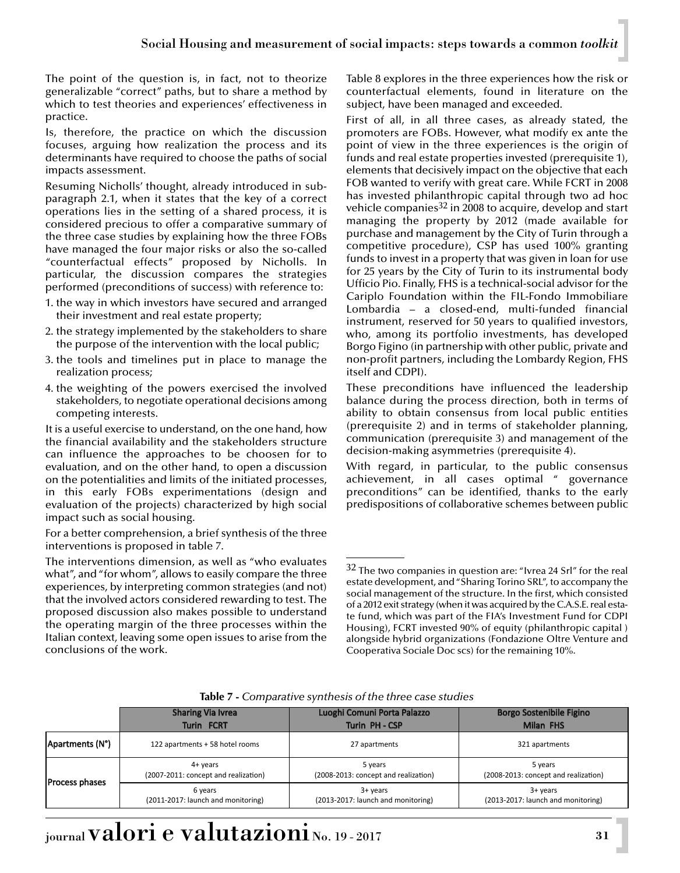The point of the question is, in fact, not to theorize generalizable "correct" paths, but to share a method by which to test theories and experiences' effectiveness in practice.

Is, therefore, the practice on which the discussion focuses, arguing how realization the process and its determinants have required to choose the paths of social impacts assessment.

Resuming Nicholls' thought, already introduced in subparagraph 2.1, when it states that the key of a correct operations lies in the setting of a shared process, it is considered precious to offer a comparative summary of the three case studies by explaining how the three FOBs have managed the four major risks or also the so-called "counterfactual effects" proposed by Nicholls. In particular, the discussion compares the strategies performed (preconditions of success) with reference to:

- 1. the way in which investors have secured and arranged their investment and real estate property;
- 2. the strategy implemented by the stakeholders to share the purpose of the intervention with the local public;
- 3. the tools and timelines put in place to manage the realization process;
- 4. the weighting of the powers exercised the involved stakeholders, to negotiate operational decisions among competing interests.

It is a useful exercise to understand, on the one hand, how the financial availability and the stakeholders structure can influence the approaches to be choosen for to evaluation, and on the other hand, to open a discussion on the potentialities and limits of the initiated processes, in this early FOBs experimentations (design and evaluation of the projects) characterized by high social impact such as social housing.

For a better comprehension, a brief synthesis of the three interventions is proposed in table 7.

The interventions dimension, as well as "who evaluates what", and "for whom", allows to easily compare the three experiences, by interpreting common strategies (and not) that the involved actors considered rewarding to test. The proposed discussion also makes possible to understand the operating margin of the three processes within the Italian context, leaving some open issues to arise from the conclusions of the work.

Table 8 explores in the three experiences how the risk or counterfactual elements, found in literature on the subject, have been managed and exceeded.

First of all, in all three cases, as already stated, the promoters are FOBs. However, what modify ex ante the point of view in the three experiences is the origin of funds and real estate properties invested (prerequisite 1), elements that decisively impact on the objective that each FOB wanted to verify with great care. While FCRT in 2008 has invested philanthropic capital through two ad hoc vehicle companies<sup>32</sup> in 2008 to acquire, develop and start managing the property by 2012 (made available for purchase and management by the City of Turin through a competitive procedure), CSP has used 100% granting funds to invest in a property that was given in loan for use for 25 years by the City of Turin to its instrumental body Ufficio Pio. Finally, FHS is a technical-social advisor for the Cariplo Foundation within the FIL-Fondo Immobiliare Lombardia – a closed-end, multi-funded financial instrument, reserved for 50 years to qualified investors, who, among its portfolio investments, has developed Borgo Figino (in partnership with other public, private and non-profit partners, including the Lombardy Region, FHS itself and CDPI).

These preconditions have influenced the leadership balance during the process direction, both in terms of ability to obtain consensus from local public entities (prerequisite 2) and in terms of stakeholder planning, communication (prerequisite 3) and management of the decision-making asymmetries (prerequisite 4).

With regard, in particular, to the public consensus achievement, in all cases optimal " governance preconditions" can be identified, thanks to the early predispositions of collaborative schemes between public

|                 | <b>Sharing Via Ivrea</b>             | Luoghi Comuni Porta Palazzo          | <b>Borgo Sostenibile Figino</b>      |  |
|-----------------|--------------------------------------|--------------------------------------|--------------------------------------|--|
|                 | <b>Turin FCRT</b>                    | Turin PH - CSP                       | <b>Milan FHS</b>                     |  |
| Apartments (N°) | 122 apartments + 58 hotel rooms      | 27 apartments                        | 321 apartments                       |  |
| Process phases  | $4 + \gamma$ ears                    | 5 years                              | 5 years                              |  |
|                 | (2007-2011: concept and realization) | (2008-2013: concept and realization) | (2008-2013: concept and realization) |  |
|                 | 6 years                              | $3 + \gamma$ ears                    | $3 + \gamma$ ears                    |  |
|                 | (2011-2017: launch and monitoring)   | (2013-2017: launch and monitoring)   | (2013-2017: launch and monitoring)   |  |

**Table 7 -** *Comparative synthesis of the three case studies*

<sup>32</sup> The two companies in question are: "Ivrea 24 Srl" for the real estate development, and "Sharing Torino SRL", to accompany the social management of the structure. In the first, which consisted of a 2012 exit strategy (when it was acquired by the C.A.S.E. real estate fund, which was part of the FIA's Investment Fund for CDPI Housing), FCRT invested 90% of equity (philanthropic capital ) alongside hybrid organizations (Fondazione Oltre Venture and Cooperativa Sociale Doc scs) for the remaining 10%.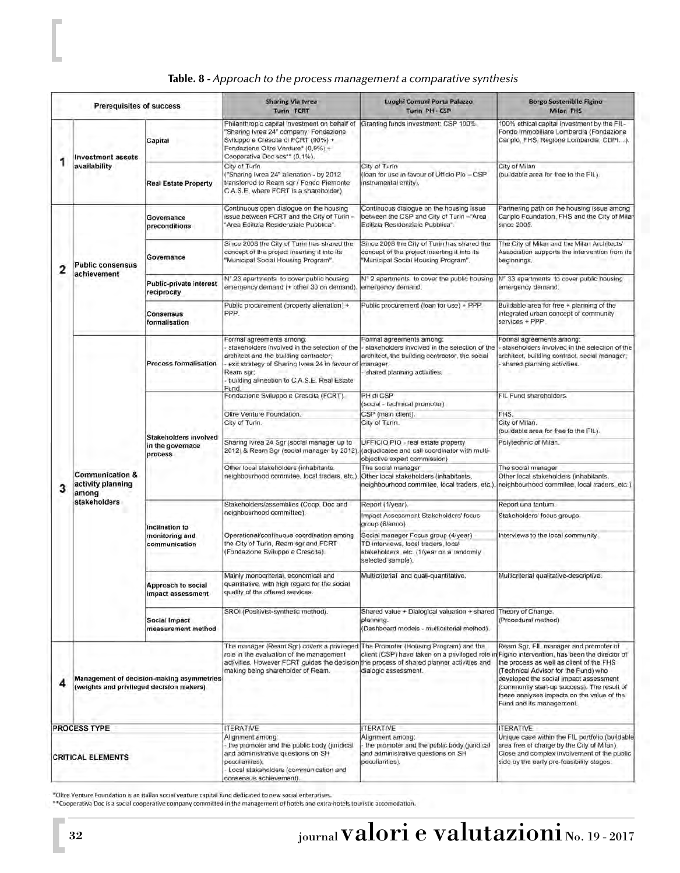|                                                 | <b>Prerequisites of success</b>                                                       |                                                             | <b>Sharing Via Ivrea</b><br><b>Turin FCRT</b>                                                                                                                                                                                              | Luoghi Comuni Porta Palazzo<br>Turin PH - CSP                                                                                                                     | <b>Borgo Sostenibile Figino</b><br>Milan FHS                                                                                                                                                                                                                                                                                                  |
|-------------------------------------------------|---------------------------------------------------------------------------------------|-------------------------------------------------------------|--------------------------------------------------------------------------------------------------------------------------------------------------------------------------------------------------------------------------------------------|-------------------------------------------------------------------------------------------------------------------------------------------------------------------|-----------------------------------------------------------------------------------------------------------------------------------------------------------------------------------------------------------------------------------------------------------------------------------------------------------------------------------------------|
|                                                 | <b>Investment assets</b>                                                              | Capital                                                     | Philanthropic capital investment on behalf of<br>"Sharing Ivrea 24" company: Fondazione<br>Sviluppo e Crescita di FCRT (90%) +<br>Fondazione Oltre Venture" (0,9%) +<br>Cooperativa Doc scs** (0.1%).                                      | Granting funds investment: CSP 100%.                                                                                                                              | 100% ethical capital investment by the FIL-<br>Fondo Immobiliare Lombardia (Fondazione<br>Cariplo, FHS, Regione Lombardia, CDPI).                                                                                                                                                                                                             |
| 1                                               | availability                                                                          | <b>Real Estate Property</b>                                 | City of Turin<br>("Sharing Ivrea 24" alienation - by 2012<br>transferred to Ream sgr / Fondo Piemonte<br>C.A.S.E, where FCRT is a shareholder).                                                                                            | City of Turin<br>(loan for use in favour of Ufficio Pio - CSP<br>instrumental entity).                                                                            | City of Milan<br>(buildable area for free to the FIL).                                                                                                                                                                                                                                                                                        |
|                                                 |                                                                                       | Governance<br>preconditions                                 | Continuous open dialogue on the housing<br>issue between FCRT and the City of Turin -<br>'Area Edilizia Residenziale Pubblica".                                                                                                            | Continuous dialogue on the housing issue<br>between the CSP and City of Turin -"Area<br>Edilizia Residenziale Pubblica".                                          | Partnering path on the housing issue among<br>Cariplo Foundation, FHS and the City of Milar<br>since 2005.                                                                                                                                                                                                                                    |
|                                                 | <b>Public consensus</b>                                                               | Governance                                                  | Since 2008 the City of Turin has shared the<br>concept of the project inserting it into its.<br>"Municipal Social Housing Program".                                                                                                        | Since 2008 the City of Turin has shared the<br>concept of the project inserting it into its<br>"Municipal Social Housing Program".                                | The City of Milan and the Milan Architects'<br>Association supports the intervention from its<br>beginnings.                                                                                                                                                                                                                                  |
|                                                 | achievement                                                                           | Public-private interest<br>reciprocity                      | N° 23 apartments to cover public housing<br>emergency demand (+ other 30 on demand).                                                                                                                                                       | N° 2 apartments to cover the public housing<br>emergency demand.                                                                                                  | Nº 33 apartments to cover public housing<br>emergency demand.                                                                                                                                                                                                                                                                                 |
|                                                 |                                                                                       | Consensus<br>formalisation                                  | Public procurement (property allenation) +<br>PPP.                                                                                                                                                                                         | Public procurement (loan for use) + PPP.                                                                                                                          | Buildable area for free + planning of the<br>integrated urban concept of community<br>services + PPP.                                                                                                                                                                                                                                         |
|                                                 |                                                                                       | <b>Process formalisation</b>                                | Formal agreements among:<br>stakeholders involved in the selection of the<br>architect and the building contractor;<br>exit strategy of Sharing Ivrea 24 in favour of manager;<br>Ream sgr.<br>building alineation to C.A.S.E. Real Estate | Formal agreements among:<br>- stakeholders involved in the selection of the<br>architect, the building contractor, the social<br>shared planning activities.      | Formal agreements among:<br>stakeholders involved in the selection of the<br>architect, building contract, social manager;<br>shared planning activities.                                                                                                                                                                                     |
|                                                 |                                                                                       | <b>Stakeholders involved</b><br>in the governace<br>process | Fund<br>Fondazione Sviluppo e Crescita (FCRT).                                                                                                                                                                                             | PH di CSP                                                                                                                                                         | FIL Fund shareholders.                                                                                                                                                                                                                                                                                                                        |
|                                                 |                                                                                       |                                                             | Oltre Venture Foundation.<br>City of Turin.                                                                                                                                                                                                | (social - technical promoter).<br>CSP (main client).<br>City of Turin.                                                                                            | FHS.<br>City of Milan.<br>(buildable area for free to the FIL).                                                                                                                                                                                                                                                                               |
|                                                 |                                                                                       |                                                             | Sharing Ivrea 24 Sgr (social manager up to<br>2012) & Ream Sgr (social manager by 2012)                                                                                                                                                    | UFFICIO PIO - real estate property<br>(adjudicatee and call coordinator with multi-<br>objective expert commission)                                               | Polytechnic of Milan.                                                                                                                                                                                                                                                                                                                         |
| 3                                               | <b>Communication &amp;</b><br>activity planning<br>among                              |                                                             | Other local stakeholders (inhabitants,<br>neighbourhood commitee, local traders, etc.)                                                                                                                                                     | The social manager<br>Other local stakeholders (inhabitants,<br>neighbourhood commitee, local traders, etc.)                                                      | The social manager<br>Other local stakeholders (inhabitants,<br>neighbourhood committee, local traders, etc.).                                                                                                                                                                                                                                |
|                                                 | stakeholders                                                                          |                                                             | Stakeholders/assemblies (Coop. Doc and                                                                                                                                                                                                     | Report (1/year).                                                                                                                                                  | Report una tantum.                                                                                                                                                                                                                                                                                                                            |
|                                                 |                                                                                       | Inclination to                                              | neighbourhood committee).                                                                                                                                                                                                                  | Impact Assessment Stakeholders' focus<br>group (6/anno)                                                                                                           | Stakeholders' focus groups.                                                                                                                                                                                                                                                                                                                   |
|                                                 |                                                                                       | monitoring and<br>communication                             | Operational/continuous coordination among<br>the City of Turin, Ream sgr and FCRT<br>(Fondazione Sviluppo e Crescita).                                                                                                                     | Social manager Focus group (4/year)<br>TD interviews, local traders, local<br>stakeholders, etc. (1/year on a randomly<br>selected sample).                       | Interviews to the local community.                                                                                                                                                                                                                                                                                                            |
|                                                 |                                                                                       | Approach to social<br>impact assessment                     | Mainly monocriterial, economical and<br>quantitative, with high regard for the social<br>quality of the offered services.                                                                                                                  | Multicriterial and quali-quantitative.                                                                                                                            | Multicriterial qualitative-descriptive.                                                                                                                                                                                                                                                                                                       |
|                                                 |                                                                                       | Social Impact<br>measurement method                         | SROI (Positivist-synthetic method).                                                                                                                                                                                                        | Shared value + Dialogical valuation + shared<br>planning.<br>(Dashboard models - multicriterial method).                                                          | Theory of Change.<br>(Procedural method)                                                                                                                                                                                                                                                                                                      |
| 4                                               | Management of decision-making asymmetries<br>(weights and privileged decision makers) |                                                             | The manager (Ream Sgr) covers a privileged<br>role in the evaluation of the management<br>activities. However FCRT guides the decision<br>making being shareholder of Ream.                                                                | The Promoter (Housing Program) and the<br>client (CSP) have taken on a privileged role in<br>the process of shared planner activities and<br>dialogic assessment. | Ream Sgr, FIL manager and promoter of<br>Figino intervention, has been the director of<br>the process as well as client of the FHS<br>(Technical Advisor for the Fund) who<br>developed the social impact assessment<br>(community start-up success). The result of<br>these analyses impacts on the value of the<br>Fund and its management. |
|                                                 |                                                                                       |                                                             | <b>ITERATIVE</b>                                                                                                                                                                                                                           | <b>ITERATIVE</b>                                                                                                                                                  | <b>ITERATIVE</b>                                                                                                                                                                                                                                                                                                                              |
| <b>PROCESS TYPE</b><br><b>CRITICAL ELEMENTS</b> |                                                                                       |                                                             | Alignment among:<br>the promoter and the public body (juridical<br>and administrative questions on SH<br>peculiarities);<br>Local stakeholders (communication and<br>(themsus achievement)                                                 | Alignment among:<br>the promoter and the public body (juridical<br>and administrative questions on SH<br>peculiarities).                                          | Unique case within the FIL portfolio (buildable<br>area free of charge by the City of Milan).<br>Close and complex involvement of the public<br>side by the early pre-feasibility stages.                                                                                                                                                     |

#### **Table. 8 -** *Approach to the process management a comparative synthesis*

\*Oltre Venture Foundation is an italian social venture capital fund dedicated to new social enterprises.

\*\* Cooperativa Doc is a social cooperative company committed in the management of hotels and extra-hotels touristic accomodation.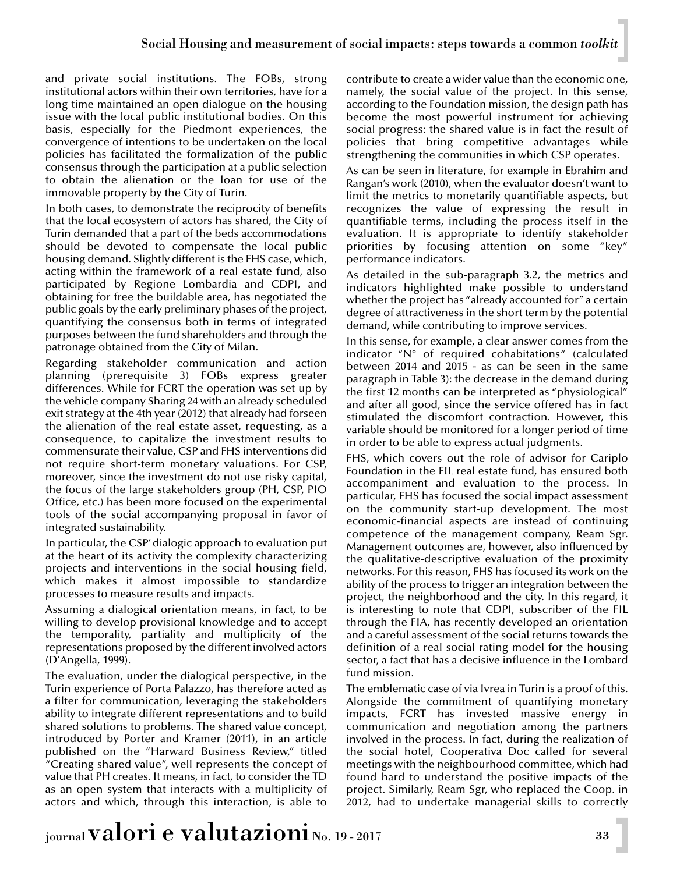and private social institutions. The FOBs, strong institutional actors within their own territories, have for a long time maintained an open dialogue on the housing issue with the local public institutional bodies. On this basis, especially for the Piedmont experiences, the convergence of intentions to be undertaken on the local policies has facilitated the formalization of the public consensus through the participation at a public selection to obtain the alienation or the loan for use of the immovable property by the City of Turin.

In both cases, to demonstrate the reciprocity of benefits that the local ecosystem of actors has shared, the City of Turin demanded that a part of the beds accommodations should be devoted to compensate the local public housing demand. Slightly different is the FHS case, which, acting within the framework of a real estate fund, also participated by Regione Lombardia and CDPI, and obtaining for free the buildable area, has negotiated the public goals by the early preliminary phases of the project, quantifying the consensus both in terms of integrated purposes between the fund shareholders and through the patronage obtained from the City of Milan.

Regarding stakeholder communication and action planning (prerequisite 3) FOBs express greater differences. While for FCRT the operation was set up by the vehicle company Sharing 24 with an already scheduled exit strategy at the 4th year (2012) that already had forseen the alienation of the real estate asset, requesting, as a consequence, to capitalize the investment results to commensurate their value, CSP and FHS interventions did not require short-term monetary valuations. For CSP, moreover, since the investment do not use risky capital, the focus of the large stakeholders group (PH, CSP, PIO Office, etc.) has been more focused on the experimental tools of the social accompanying proposal in favor of integrated sustainability.

In particular, the CSP' dialogic approach to evaluation put at the heart of its activity the complexity characterizing projects and interventions in the social housing field, which makes it almost impossible to standardize processes to measure results and impacts.

Assuming a dialogical orientation means, in fact, to be willing to develop provisional knowledge and to accept the temporality, partiality and multiplicity of the representations proposed by the different involved actors (D'Angella, 1999).

The evaluation, under the dialogical perspective, in the Turin experience of Porta Palazzo, has therefore acted as a filter for communication, leveraging the stakeholders ability to integrate different representations and to build shared solutions to problems. The shared value concept, introduced by Porter and Kramer (2011), in an article published on the "Harward Business Review," titled "Creating shared value", well represents the concept of value that PH creates. It means, in fact, to consider the TD as an open system that interacts with a multiplicity of actors and which, through this interaction, is able to contribute to create a wider value than the economic one, namely, the social value of the project. In this sense, according to the Foundation mission, the design path has become the most powerful instrument for achieving social progress: the shared value is in fact the result of policies that bring competitive advantages while strengthening the communities in which CSP operates.

As can be seen in literature, for example in Ebrahim and Rangan's work (2010), when the evaluator doesn't want to limit the metrics to monetarily quantifiable aspects, but recognizes the value of expressing the result in quantifiable terms, including the process itself in the evaluation. It is appropriate to identify stakeholder priorities by focusing attention on some "key" performance indicators.

As detailed in the sub-paragraph 3.2, the metrics and indicators highlighted make possible to understand whether the project has "already accounted for" a certain degree of attractiveness in the short term by the potential demand, while contributing to improve services.

In this sense, for example, a clear answer comes from the indicator "N° of required cohabitations" (calculated between 2014 and 2015 - as can be seen in the same paragraph in Table 3): the decrease in the demand during the first 12 months can be interpreted as "physiological" and after all good, since the service offered has in fact stimulated the discomfort contraction. However, this variable should be monitored for a longer period of time in order to be able to express actual judgments.

FHS, which covers out the role of advisor for Cariplo Foundation in the FIL real estate fund, has ensured both accompaniment and evaluation to the process. In particular, FHS has focused the social impact assessment on the community start-up development. The most economic-financial aspects are instead of continuing competence of the management company, Ream Sgr. Management outcomes are, however, also influenced by the qualitative-descriptive evaluation of the proximity networks. For this reason, FHS has focused its work on the ability of the process to trigger an integration between the project, the neighborhood and the city. In this regard, it is interesting to note that CDPI, subscriber of the FIL through the FIA, has recently developed an orientation and a careful assessment of the social returns towards the definition of a real social rating model for the housing sector, a fact that has a decisive influence in the Lombard fund mission.

The emblematic case of via Ivrea in Turin is a proof of this. Alongside the commitment of quantifying monetary impacts, FCRT has invested massive energy in communication and negotiation among the partners involved in the process. In fact, during the realization of the social hotel, Cooperativa Doc called for several meetings with the neighbourhood committee, which had found hard to understand the positive impacts of the project. Similarly, Ream Sgr, who replaced the Coop. in 2012, had to undertake managerial skills to correctly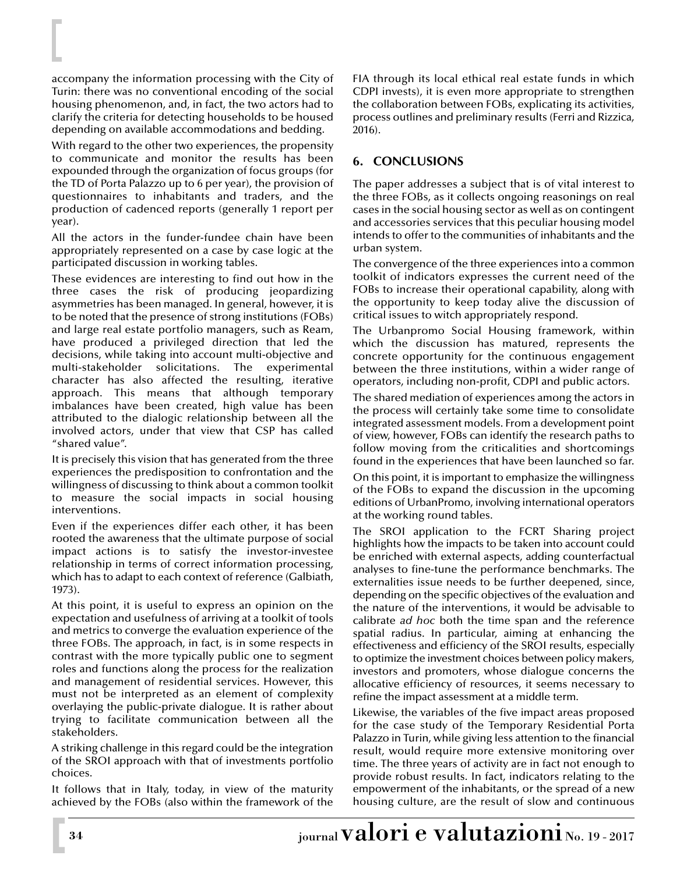accompany the information processing with the City of Turin: there was no conventional encoding of the social housing phenomenon, and, in fact, the two actors had to clarify the criteria for detecting households to be housed depending on available accommodations and bedding.

With regard to the other two experiences, the propensity to communicate and monitor the results has been expounded through the organization of focus groups (for the TD of Porta Palazzo up to 6 per year), the provision of questionnaires to inhabitants and traders, and the production of cadenced reports (generally 1 report per year).

All the actors in the funder-fundee chain have been appropriately represented on a case by case logic at the participated discussion in working tables.

These evidences are interesting to find out how in the three cases the risk of producing jeopardizing asymmetries has been managed. In general, however, it is to be noted that the presence of strong institutions (FOBs) and large real estate portfolio managers, such as Ream, have produced a privileged direction that led the decisions, while taking into account multi-objective and multi-stakeholder solicitations. The experimental character has also affected the resulting, iterative approach. This means that although temporary imbalances have been created, high value has been attributed to the dialogic relationship between all the involved actors, under that view that CSP has called "shared value".

It is precisely this vision that has generated from the three experiences the predisposition to confrontation and the willingness of discussing to think about a common toolkit to measure the social impacts in social housing interventions.

Even if the experiences differ each other, it has been rooted the awareness that the ultimate purpose of social impact actions is to satisfy the investor-investee relationship in terms of correct information processing, which has to adapt to each context of reference (Galbiath, 1973).

At this point, it is useful to express an opinion on the expectation and usefulness of arriving at a toolkit of tools and metrics to converge the evaluation experience of the three FOBs. The approach, in fact, is in some respects in contrast with the more typically public one to segment roles and functions along the process for the realization and management of residential services. However, this must not be interpreted as an element of complexity overlaying the public-private dialogue. It is rather about trying to facilitate communication between all the stakeholders.

A striking challenge in this regard could be the integration of the SROI approach with that of investments portfolio choices.

It follows that in Italy, today, in view of the maturity achieved by the FOBs (also within the framework of the FIA through its local ethical real estate funds in which CDPI invests), it is even more appropriate to strengthen the collaboration between FOBs, explicating its activities, process outlines and preliminary results (Ferri and Rizzica, 2016).

#### **6. CONCLUSIONS**

The paper addresses a subject that is of vital interest to the three FOBs, as it collects ongoing reasonings on real cases in the social housing sector as well as on contingent and accessories services that this peculiar housing model intends to offer to the communities of inhabitants and the urban system.

The convergence of the three experiences into a common toolkit of indicators expresses the current need of the FOBs to increase their operational capability, along with the opportunity to keep today alive the discussion of critical issues to witch appropriately respond.

The Urbanpromo Social Housing framework, within which the discussion has matured, represents the concrete opportunity for the continuous engagement between the three institutions, within a wider range of operators, including non-profit, CDPI and public actors.

The shared mediation of experiences among the actors in the process will certainly take some time to consolidate integrated assessment models. From a development point of view, however, FOBs can identify the research paths to follow moving from the criticalities and shortcomings found in the experiences that have been launched so far.

On this point, it is important to emphasize the willingness of the FOBs to expand the discussion in the upcoming editions of UrbanPromo, involving international operators at the working round tables.

The SROI application to the FCRT Sharing project highlights how the impacts to be taken into account could be enriched with external aspects, adding counterfactual analyses to fine-tune the performance benchmarks. The externalities issue needs to be further deepened, since, depending on the specific objectives of the evaluation and the nature of the interventions, it would be advisable to calibrate *ad hoc* both the time span and the reference spatial radius. In particular, aiming at enhancing the effectiveness and efficiency of the SROI results, especially to optimize the investment choices between policy makers, investors and promoters, whose dialogue concerns the allocative efficiency of resources, it seems necessary to refine the impact assessment at a middle term.

Likewise, the variables of the five impact areas proposed for the case study of the Temporary Residential Porta Palazzo in Turin, while giving less attention to the financial result, would require more extensive monitoring over time. The three years of activity are in fact not enough to provide robust results. In fact, indicators relating to the empowerment of the inhabitants, or the spread of a new housing culture, are the result of slow and continuous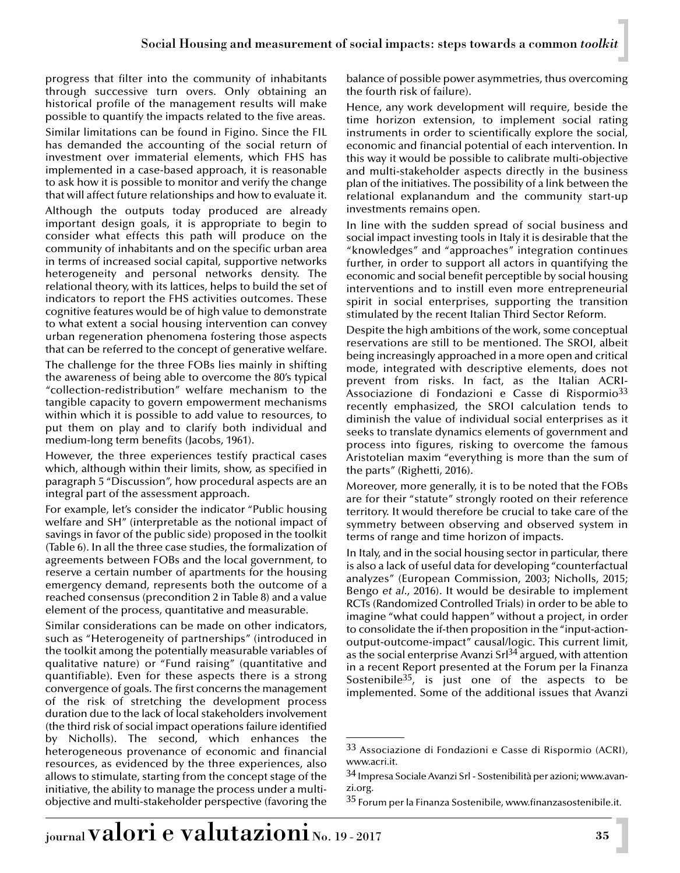progress that filter into the community of inhabitants through successive turn overs. Only obtaining an historical profile of the management results will make possible to quantify the impacts related to the five areas.

Similar limitations can be found in Figino. Since the FIL has demanded the accounting of the social return of investment over immaterial elements, which FHS has implemented in a case-based approach, it is reasonable to ask how it is possible to monitor and verify the change that will affect future relationships and how to evaluate it.

Although the outputs today produced are already important design goals, it is appropriate to begin to consider what effects this path will produce on the community of inhabitants and on the specific urban area in terms of increased social capital, supportive networks heterogeneity and personal networks density. The relational theory, with its lattices, helps to build the set of indicators to report the FHS activities outcomes. These cognitive features would be of high value to demonstrate to what extent a social housing intervention can convey urban regeneration phenomena fostering those aspects that can be referred to the concept of generative welfare.

The challenge for the three FOBs lies mainly in shifting the awareness of being able to overcome the 80's typical "collection-redistribution" welfare mechanism to the tangible capacity to govern empowerment mechanisms within which it is possible to add value to resources, to put them on play and to clarify both individual and medium-long term benefits (Jacobs, 1961).

However, the three experiences testify practical cases which, although within their limits, show, as specified in paragraph 5 "Discussion", how procedural aspects are an integral part of the assessment approach.

For example, let's consider the indicator "Public housing welfare and SH" (interpretable as the notional impact of savings in favor of the public side) proposed in the toolkit (Table 6). In all the three case studies, the formalization of agreements between FOBs and the local government, to reserve a certain number of apartments for the housing emergency demand, represents both the outcome of a reached consensus (precondition 2 in Table 8) and a value element of the process, quantitative and measurable.

Similar considerations can be made on other indicators, such as "Heterogeneity of partnerships" (introduced in the toolkit among the potentially measurable variables of qualitative nature) or "Fund raising" (quantitative and quantifiable). Even for these aspects there is a strong convergence of goals. The first concerns the management of the risk of stretching the development process duration due to the lack of local stakeholders involvement (the third risk of social impact operations failure identified by Nicholls). The second, which enhances the heterogeneous provenance of economic and financial resources, as evidenced by the three experiences, also allows to stimulate, starting from the concept stage of the initiative, the ability to manage the process under a multiobjective and multi-stakeholder perspective (favoring the

balance of possible power asymmetries, thus overcoming the fourth risk of failure).

Hence, any work development will require, beside the time horizon extension, to implement social rating instruments in order to scientifically explore the social, economic and financial potential of each intervention. In this way it would be possible to calibrate multi-objective and multi-stakeholder aspects directly in the business plan of the initiatives. The possibility of a link between the relational explanandum and the community start-up investments remains open.

In line with the sudden spread of social business and social impact investing tools in Italy it is desirable that the "knowledges" and "approaches" integration continues further, in order to support all actors in quantifying the economic and social benefit perceptible by social housing interventions and to instill even more entrepreneurial spirit in social enterprises, supporting the transition stimulated by the recent Italian Third Sector Reform.

Despite the high ambitions of the work, some conceptual reservations are still to be mentioned. The SROI, albeit being increasingly approached in a more open and critical mode, integrated with descriptive elements, does not prevent from risks. In fact, as the Italian ACRI-Associazione di Fondazioni e Casse di Rispormio<sup>33</sup> recently emphasized, the SROI calculation tends to diminish the value of individual social enterprises as it seeks to translate dynamics elements of government and process into figures, risking to overcome the famous Aristotelian maxim "everything is more than the sum of the parts" (Righetti, 2016).

Moreover, more generally, it is to be noted that the FOBs are for their "statute" strongly rooted on their reference territory. It would therefore be crucial to take care of the symmetry between observing and observed system in terms of range and time horizon of impacts.

In Italy, and in the social housing sector in particular, there is also a lack of useful data for developing "counterfactual analyzes" (European Commission, 2003; Nicholls, 2015; Bengo *et al*., 2016). It would be desirable to implement RCTs (Randomized Controlled Trials) in order to be able to imagine "what could happen" without a project, in order to consolidate the if-then proposition in the "input-actionoutput-outcome-impact" causal/logic. This current limit, as the social enterprise Avanzi Sr $134$  argued, with attention in a recent Report presented at the Forum per la Finanza Sostenibile35, is just one of the aspects to be implemented. Some of the additional issues that Avanzi

<sup>33</sup> Associazione di Fondazioni e Casse di Rispormio (ACRI), www.acri.it.

<sup>34</sup> Impresa Sociale Avanzi Srl - Sostenibilità per azioni; www.avanzi.org.

<sup>35</sup> Forum per la Finanza Sostenibile, www.finanzasostenibile.it.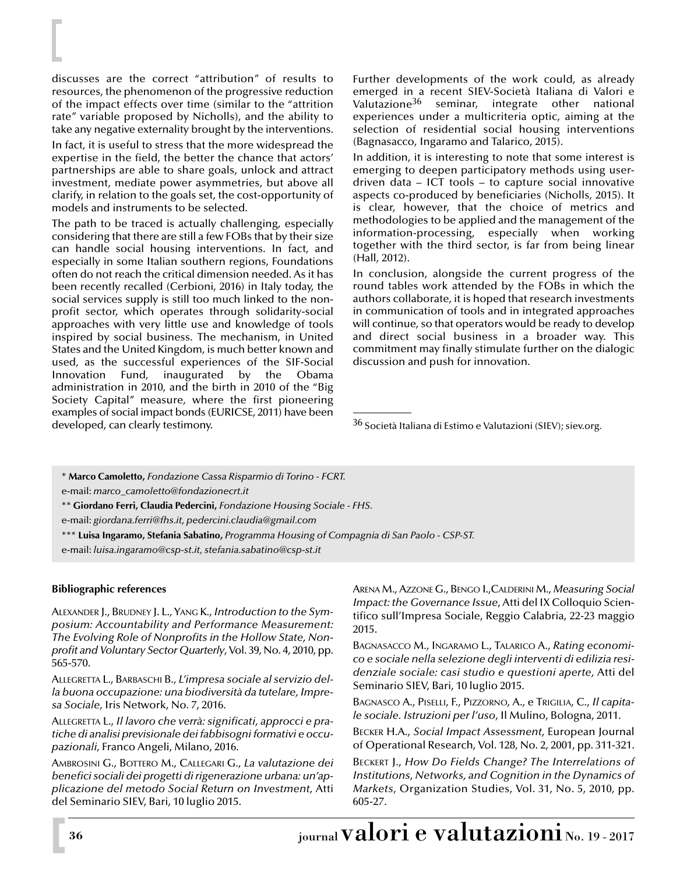discusses are the correct "attribution" of results to resources, the phenomenon of the progressive reduction of the impact effects over time (similar to the "attrition rate" variable proposed by Nicholls), and the ability to take any negative externality brought by the interventions.

In fact, it is useful to stress that the more widespread the expertise in the field, the better the chance that actors' partnerships are able to share goals, unlock and attract investment, mediate power asymmetries, but above all clarify, in relation to the goals set, the cost-opportunity of models and instruments to be selected.

The path to be traced is actually challenging, especially considering that there are still a few FOBs that by their size can handle social housing interventions. In fact, and especially in some Italian southern regions, Foundations often do not reach the critical dimension needed. As it has been recently recalled (Cerbioni, 2016) in Italy today, the social services supply is still too much linked to the nonprofit sector, which operates through solidarity-social approaches with very little use and knowledge of tools inspired by social business. The mechanism, in United States and the United Kingdom, is much better known and used, as the successful experiences of the SIF-Social Innovation Fund, inaugurated by the Obama administration in 2010, and the birth in 2010 of the "Big Society Capital" measure, where the first pioneering examples of social impact bonds (EURICSE, 2011) have been developed, can clearly testimony.

Further developments of the work could, as already emerged in a recent SIEV-Società Italiana di Valori e Valutazione36 seminar, integrate other national experiences under a multicriteria optic, aiming at the selection of residential social housing interventions (Bagnasacco, Ingaramo and Talarico, 2015).

In addition, it is interesting to note that some interest is emerging to deepen participatory methods using userdriven data – ICT tools – to capture social innovative aspects co-produced by beneficiaries (Nicholls, 2015). It is clear, however, that the choice of metrics and methodologies to be applied and the management of the information-processing, especially when working together with the third sector, is far from being linear (Hall, 2012).

In conclusion, alongside the current progress of the round tables work attended by the FOBs in which the authors collaborate, it is hoped that research investments in communication of tools and in integrated approaches will continue, so that operators would be ready to develop and direct social business in a broader way. This commitment may finally stimulate further on the dialogic discussion and push for innovation.

36 Società Italiana di Estimo e Valutazioni (SIEV); siev.org.

\* **Marco Camoletto,** *Fondazione Cassa Risparmio di Torino - FCRT.*

e-mail: *marco\_camoletto@fondazionecrt.it*

\*\* **Giordano Ferri, Claudia Pedercini,** *Fondazione Housing Sociale - FHS.*

e-mail: *giordana.ferri@fhs.it, pedercini.claudia@gmail.com*

\*\*\* **Luisa Ingaramo, Stefania Sabatino,** *Programma Housing of Compagnia di San Paolo - CSP-ST.*

e-mail: *luisa.ingaramo@csp-st.it, stefania.sabatino@csp-st.it*

#### **Bibliographic references**

ALEXANDER J., BRUDNEY J. L., YANG K., *Introduction to the Symposium: Accountability and Performance Measurement: The Evolving Role of Nonprofits in the Hollow State, Nonprofit and Voluntary Sector Quarterly*, Vol. 39, No. 4, 2010, pp. 565-570.

ALLEGRETTA L., BARBASCHI B., *L'impresa sociale al servizio della buona occupazione: una biodiversità da tutelare, Impresa Sociale*, Iris Network, No. 7, 2016.

ALLEGRETTA L., *Il lavoro che verrà: significati, approcci e pratiche di analisi previsionale dei fabbisogni formativi e occupazionali*, Franco Angeli, Milano, 2016.

AMBROSINI G., BOTTERO M., CALLEGARI G., *La valutazione dei benefici sociali dei progetti di rigenerazione urbana: un'applicazione del metodo Social Return on Investment*, Atti del Seminario SIEV, Bari, 10 luglio 2015.

ARENA M., AZZONE G., BENGO I.,CALDERINI M., *Measuring Social Impact: the Governance Issue*, Atti del IX Colloquio Scientifico sull'Impresa Sociale, Reggio Calabria, 22-23 maggio 2015.

BAGNASACCO M., INGARAMO L., TALARICO A., *Rating economico e sociale nella selezione degli interventi di edilizia residenziale sociale: casi studio e questioni aperte,* Atti del Seminario SIEV, Bari, 10 luglio 2015.

BAGNASCO A., PISELLI, F., PIZZORNO, A., e TRIGILIA, C., *Il capitale sociale. Istruzioni per l'uso*, Il Mulino, Bologna, 2011.

BECKER H.A., *Social Impact Assessment,* European Journal of Operational Research, Vol. 128, No. 2, 2001, pp. 311-321.

BECKERT J., *How Do Fields Change? The Interrelations of Institutions, Networks, and Cognition in the Dynamics of Markets*, Organization Studies, Vol. 31, No. 5, 2010, pp. 605-27.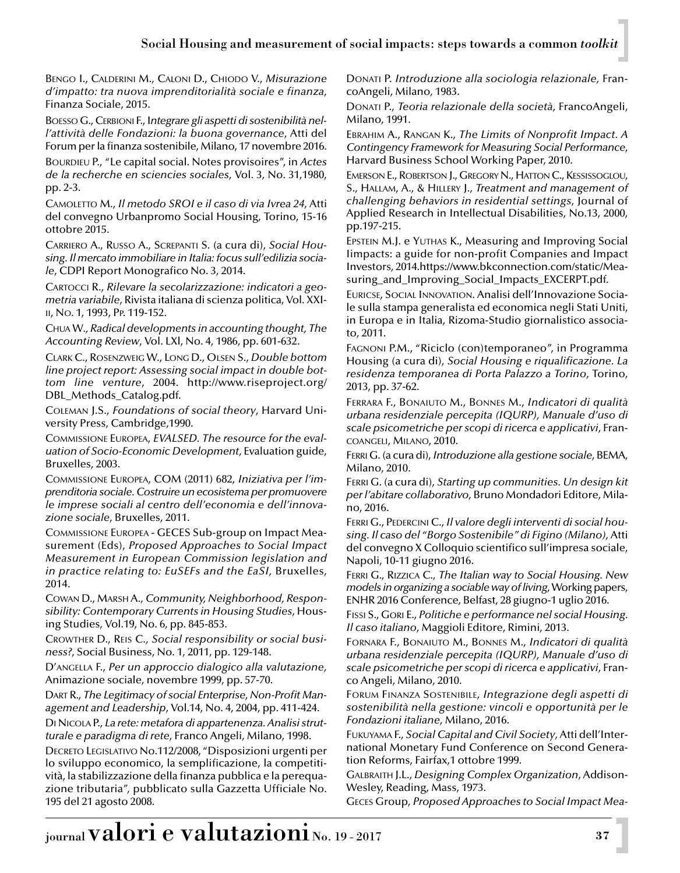## Social Housing and measurement of social impacts: steps towards a common *toolkit*

BENGO I., CALDERINI M., CALONI D., CHIODO V., *Misurazione d'impatto: tra nuova imprenditorialità sociale e finanza*, Finanza Sociale, 2015.

BOESSO G., CERBIONI F., I*ntegrare gli aspetti di sostenibilità nell'attività delle Fondazioni: la buona governance*, Atti del Forum per la finanza sostenibile, Milano, 17 novembre 2016.

BOURDIEU P., "Le capital social. Notes provisoires", in *Actes de la recherche en sciencies sociales*, Vol. 3, No. 31,1980, pp. 2-3.

CAMOLETTO M., *Il metodo SROI e il caso di via Ivrea 24*, Atti del convegno Urbanpromo Social Housing, Torino, 15-16 ottobre 2015.

CARRIERO A., RUSSO A., SCREPANTI S. (a cura di), *Social Housing. Il mercato immobiliare in Italia: focus sull'edilizia sociale*, CDPI Report Monografico No. 3, 2014.

CARTOCCI R., *Rilevare la secolarizzazione: indicatori a geometria variabile*, Rivista italiana di scienza politica, Vol. XXI-II, NO. 1, 1993, PP. 119-152.

CHUA W*., Radical developments in accounting thought, The Accounting Review*, Vol. LXl, No. 4, 1986, pp. 601-632.

CLARK C., ROSENZWEIG W., LONG D., OLSEN S., *Double bottom line project report: Assessing social impact in double bottom line venture*, 2004. http://www.riseproject.org/ DBL\_Methods\_Catalog.pdf.

COLEMAN J.S., *Foundations of social theory*, Harvard University Press, Cambridge,1990.

COMMISSIONE EUROPEA, *EVALSED. The resource for the evaluation of Socio-Economic Development*, Evaluation guide, Bruxelles, 2003.

COMMISSIONE EUROPEA, COM (2011) 682, *Iniziativa per l'imprenditoria sociale. Costruire un ecosistema per promuovere le imprese sociali al centro dell'economia e dell'innovazione sociale*, Bruxelles, 2011.

COMMISSIONE EUROPEA - GECES Sub-group on Impact Measurement (Eds), *Proposed Approaches to Social Impact Measurement in European Commission legislation and in practice relating to: EuSEFs and the EaSI,* Bruxelles, 2014.

COWAN D., MARSH A., *Community, Neighborhood, Responsibility: Contemporary Currents in Housing Studies*, Housing Studies, Vol.19, No. 6, pp. 845-853.

CROWTHER D., REIS C*., Social responsibility or social business?*, Social Business, No. 1, 2011, pp. 129-148.

D'ANGELLA F., *Per un approccio dialogico alla valutazione,* Animazione sociale, novembre 1999, pp. 57-70.

DART R., *The Legitimacy of social Enterprise, Non-Profit Management and Leadership*, Vol.14, No. 4, 2004, pp. 411-424.

DI NICOLA P., *La rete: metafora di appartenenza. Analisi strutturale e paradigma di rete*, Franco Angeli, Milano, 1998.

DECRETO LEGISLATIVO No.112/2008, "Disposizioni urgenti per lo sviluppo economico, la semplificazione, la competitività, la stabilizzazione della finanza pubblica e la perequazione tributaria", pubblicato sulla Gazzetta Ufficiale No. 195 del 21 agosto 2008.

DONATI P. *Introduzione alla sociologia relazionale,* FrancoAngeli, Milano, 1983.

DONATI P., *Teoria relazionale della società*, FrancoAngeli, Milano, 1991.

EBRAHIM A., RANGAN K., *The Limits of Nonprofit Impact. A Contingency Framework for Measuring Social Performance*, Harvard Business School Working Paper, 2010.

EMERSON E., ROBERTSON J., GREGORY N., HATTON C., KESSISSOGLOU, S., HALLAM, A., & HILLERY J., *Treatment and management of challenging behaviors in residential settings*, Journal of Applied Research in Intellectual Disabilities, No.13, 2000, pp.197-215.

EPSTEIN M.J. e YUTHAS K., Measuring and Improving Social Iimpacts: a guide for non-profit Companies and Impact Investors, 2014.https://www.bkconnection.com/static/Measuring\_and\_Improving\_Social\_Impacts\_EXCERPT.pdf.

EURICSE, SOCIAL INNOVATION. Analisi dell'Innovazione Sociale sulla stampa generalista ed economica negli Stati Uniti, in Europa e in Italia, Rizoma-Studio giornalistico associato, 2011.

FAGNONI P.M., "Riciclo (con)temporaneo", in Programma Housing (a cura di), *Social Housing e riqualificazione. La residenza temporanea di Porta Palazzo a Torino*, Torino, 2013, pp. 37-62.

FERRARA F., BONAIUTO M., BONNES M., *Indicatori di qualità urbana residenziale percepita (IQURP), Manuale d'uso di scale psicometriche per scopi di ricerca e applicativi*, Fran-COANGELI, MILANO, 2010.

FERRI G. (a cura di), *Introduzione alla gestione sociale*, BEMA, Milano, 2010.

FERRI G. (a cura di), *Starting up communities. Un design kit per l'abitare collaborativo*, Bruno Mondadori Editore, Milano, 2016.

FERRI G., PEDERCINI C., *Il valore degli interventi di social housing. Il caso del "Borgo Sostenibile" di Figino (Milano),* Atti del convegno X Colloquio scientifico sull'impresa sociale, Napoli, 10-11 giugno 2016.

FERRI G., RIZZICA C., *The Italian way to Social Housing. New models in organizing a sociable way of living*, Working papers, ENHR 2016 Conference, Belfast, 28 giugno-1 uglio 2016.

FISSI S., GORI E., *Politiche e performance nel social Housing. Il caso italiano*, Maggioli Editore, Rimini, 2013.

FORNARA F., BONAIUTO M., BONNES M., *Indicatori di qualità urbana residenziale percepita (IQURP), Manuale d'uso di scale psicometriche per scopi di ricerca e applicativi*, Franco Angeli, Milano, 2010.

FORUM FINANZA SOSTENIBILE, *Integrazione degli aspetti di sostenibilità nella gestione: vincoli e opportunità per le Fondazioni italiane*, Milano, 2016.

FUKUYAMA F., *Social Capital and Civil Society*, Atti dell'International Monetary Fund Conference on Second Generation Reforms, Fairfax,1 ottobre 1999.

GALBRAITH J.L., *Designing Complex Organization*, Addison-Wesley, Reading, Mass, 1973.

GECES Group, *Proposed Approaches to Social Impact Mea-*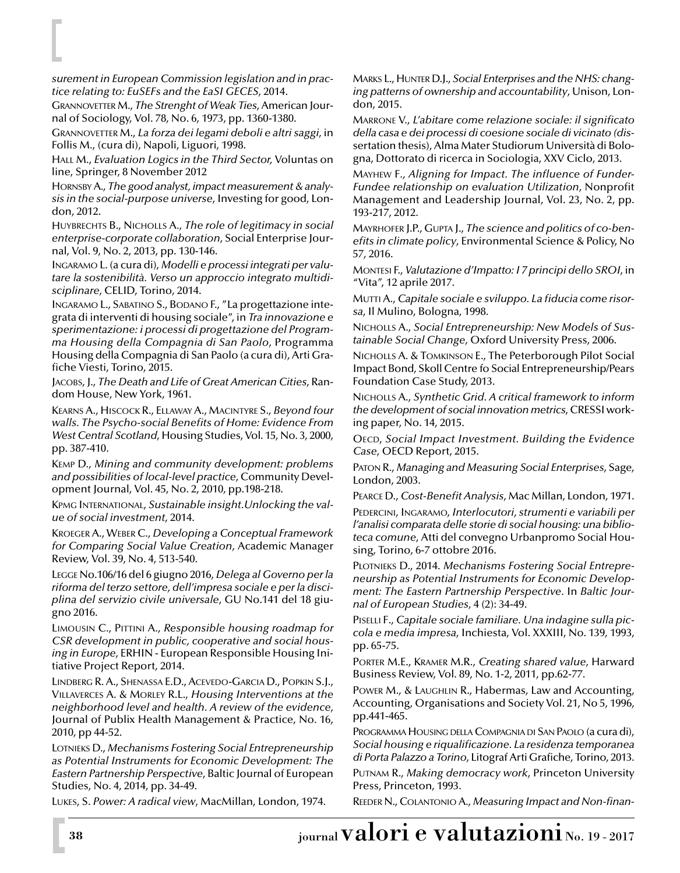*surement in European Commission legislation and in practice relating to: EuSEFs and the EaSI GECES*, 2014.

GRANNOVETTER M., *The Strenght of Weak Ties*, American Journal of Sociology, Vol. 78, No. 6, 1973, pp. 1360-1380.

GRANNOVETTER M., *La forza dei legami deboli e altri saggi*, in Follis M., (cura di), Napoli, Liguori, 1998.

HALL M., *Evaluation Logics in the Third Sector,* Voluntas on line, Springer, 8 November 2012

HORNSBY A., *The good analyst, impact measurement & analysis in the social-purpose universe*, Investing for good, London, 2012.

HUYBRECHTS B., NICHOLLS A., *The role of legitimacy in social enterprise-corporate collaboration*, Social Enterprise Journal, Vol. 9, No. 2, 2013, pp. 130-146.

INGARAMO L. (a cura di), *Modelli e processi integrati per valutare la sostenibilità. Verso un approccio integrato multidisciplinare*, CELID, Torino, 2014.

INGARAMO L., SABATINO S., BODANO F., "La progettazione integrata di interventi di housing sociale", in *Tra innovazione e sperimentazione: i processi di progettazione del Programma Housing della Compagnia di San Paolo*, Programma Housing della Compagnia di San Paolo (a cura di), Arti Grafiche Viesti, Torino, 2015.

JACOBS, J., *The Death and Life of Great American Cities*, Random House, New York, 1961.

KEARNS A., HISCOCK R., ELLAWAY A., MACINTYRE S., *Beyond four walls. The Psycho-social Benefits of Home: Evidence From West Central Scotland*, Housing Studies, Vol. 15, No. 3, 2000, pp. 387-410.

KEMP D., *Mining and community development: problems and possibilities of local-level practice*, Community Development Journal, Vol. 45, No. 2, 2010, pp.198-218.

KPMG INTERNATIONAL, *Sustainable insight.Unlocking the value of social investment*, 2014.

KROEGER A., WEBER C., *Developing a Conceptual Framework for Comparing Social Value Creation*, Academic Manager Review, Vol. 39, No. 4, 513-540.

LEGGE No.106/16 del 6 giugno 2016, *Delega al Governo per la riforma del terzo settore, dell'impresa sociale e per la disciplina del servizio civile universale*, GU No.141 del 18 giugno 2016.

LIMOUSIN C., PITTINI A., *Responsible housing roadmap for CSR development in public, cooperative and social housing in Europe*, ERHIN - European Responsible Housing Initiative Project Report, 2014.

LINDBERG R. A., SHENASSA E.D., ACEVEDO-GARCIA D., POPKIN S.J., VILLAVERCES A. & MORLEY R.L., *Housing Interventions at the neighborhood level and health. A review of the evidence*, Journal of Publix Health Management & Practice, No. 16, 2010, pp 44-52.

LOTNIEKS D., *Mechanisms Fostering Social Entrepreneurship as Potential Instruments for Economic Development: The Eastern Partnership Perspective*, Baltic Journal of European Studies, No. 4, 2014, pp. 34-49.

LUKES, S. *Power: A radical view*, MacMillan, London, 1974.

MARKS L., HUNTER D.J., *Social Enterprises and the NHS: changing patterns of ownership and accountability*, Unison, London, 2015.

MARRONE V., *L'abitare come relazione sociale: il significato della casa e dei processi di coesione sociale di vicinato (dis*sertation thesis), Alma Mater Studiorum Università di Bologna, Dottorato di ricerca in Sociologia, XXV Ciclo, 2013.

MAYHEW F*., Aligning for Impact. The influence of Funder-Fundee relationship on evaluation Utilization*, Nonprofit Management and Leadership Journal, Vol. 23, No. 2, pp. 193-217, 2012.

MAYRHOFER J.P., GUPTA J., *The science and politics of co-benefits in climate policy*, Environmental Science & Policy, No 57, 2016.

MONTESI F., *Valutazione d'Impatto: I 7 principi dello SROI*, in "Vita", 12 aprile 2017.

MUTTI A., *Capitale sociale e sviluppo. La fiducia come risorsa*, Il Mulino, Bologna, 1998.

NICHOLLS A., *Social Entrepreneurship: New Models of Sustainable Social Change*, Oxford University Press, 2006.

NICHOLLS A. & TOMKINSON E., The Peterborough Pilot Social Impact Bond, Skoll Centre fo Social Entrepreneurship/Pears Foundation Case Study, 2013.

NICHOLLS A., *Synthetic Grid. A critical framework to inform the development of social innovation metrics*, CRESSI working paper, No. 14, 2015.

OECD, *Social Impact Investment. Building the Evidence Case*, OECD Report, 2015.

PATON R., *Managing and Measuring Social Enterprises*, Sage, London, 2003.

PEARCE D., *Cost-Benefit Analysis*, Mac Millan, London, 1971.

PEDERCINI, INGARAMO, *Interlocutori, strumenti e variabili per l'analisi comparata delle storie di social housing: una biblioteca comune*, Atti del convegno Urbanpromo Social Housing, Torino, 6-7 ottobre 2016.

PLOTNIEKS D., 2014. *Mechanisms Fostering Social Entrepreneurship as Potential Instruments for Economic Development: The Eastern Partnership Perspective*. In *Baltic Journal of European Studies*, 4 (2): 34-49.

PISELLI F., *Capitale sociale familiare. Una indagine sulla piccola e media impresa*, Inchiesta, Vol. XXXIII, No. 139, 1993, pp. 65-75.

PORTER M.E., KRAMER M.R., *Creating shared value*, Harward Business Review, Vol. 89, No. 1-2, 2011, pp.62-77.

POWER M., & LAUGHLIN R., Habermas, Law and Accounting, Accounting, Organisations and Society Vol. 21, No 5, 1996, pp.441-465.

PROGRAMMA HOUSING DELLA COMPAGNIA DI SAN PAOLO (a cura di), *Social housing e riqualificazione. La residenza temporanea di Porta Palazzo a Torino*, Litograf Arti Grafiche, Torino, 2013. PUTNAM R., *Making democracy work*, Princeton University Press, Princeton, 1993.

REEDER N., COLANTONIO A., *Measuring Impact and Non-finan-*